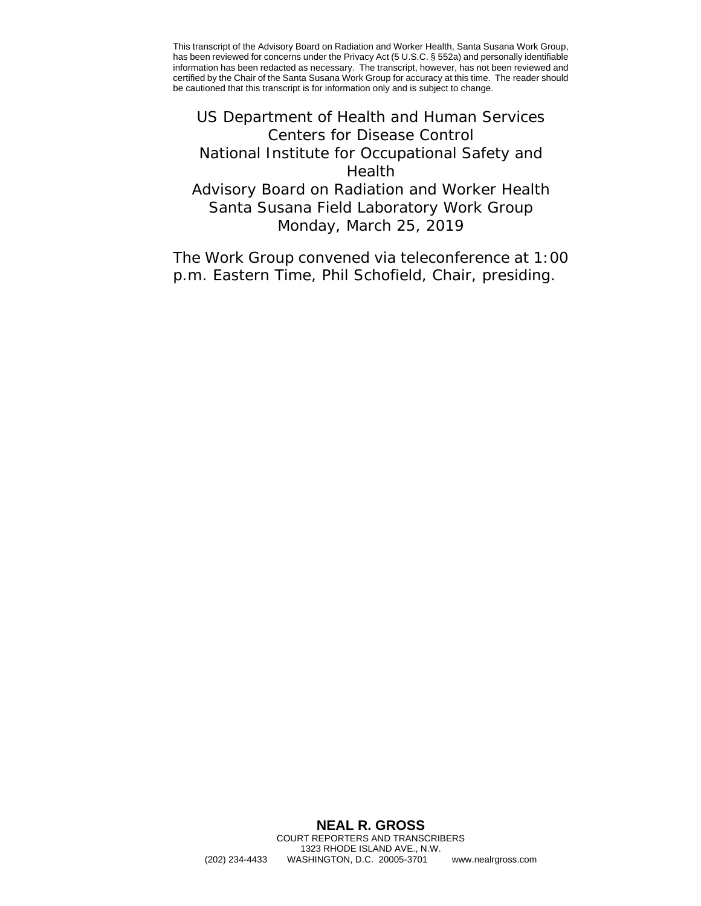<span id="page-0-0"></span>US Department of Health and Human Services Centers for Disease Control National Institute for Occupational Safety and Health Advisory Board on Radiation and Worker Health Santa Susana Field Laboratory Work Group Monday, March 25, 2019

The Work Group convened via teleconference at 1:00 p.m. Eastern Time, Phil Schofield, Chair, presiding.

#### **NEAL R. GROSS** COURT REPORTERS AND TRANSCRIBERS

1323 RHODE ISLAND AVE., N.W. (202) 234-4433 WASHINGTON, D.C. 20005-3701 <www.nealrgross.com>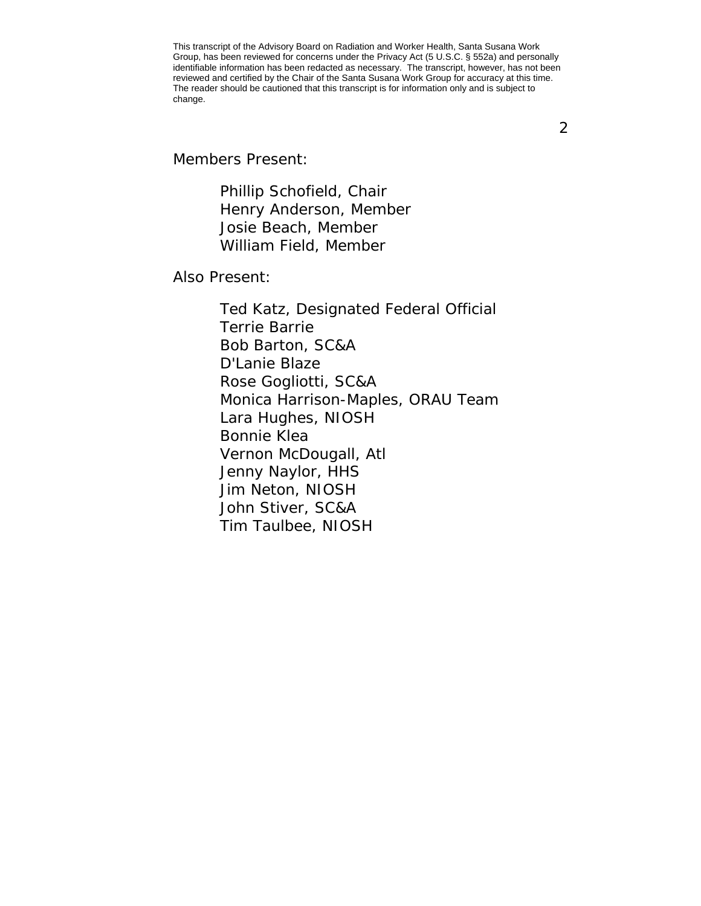2

Members Present:

Phillip Schofield, Chair Henry Anderson, Member Josie Beach, Member William Field, Member

Also Present:

Ted Katz, Designated Federal Official Terrie Barrie Bob Barton, SC&A D'Lanie Blaze Rose Gogliotti, SC&A Monica Harrison-Maples, ORAU Team Lara Hughes, NIOSH Bonnie Klea Vernon McDougall, Atl Jenny Naylor, HHS Jim Neton, NIOSH John Stiver, SC&A Tim Taulbee, NIOSH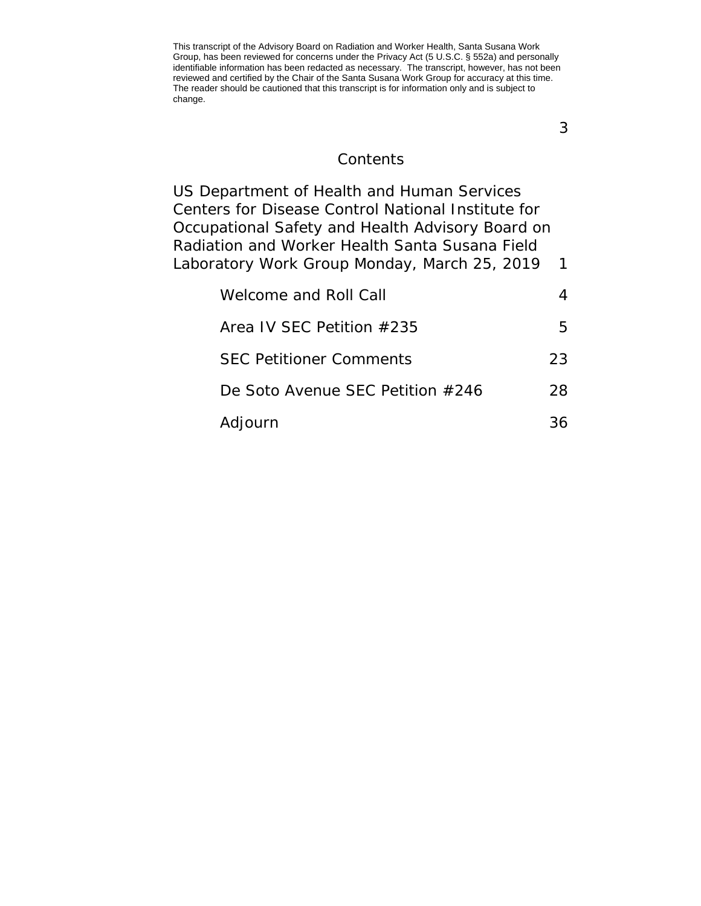3

# **Contents**

| US Department of Health and Human Services         |              |
|----------------------------------------------------|--------------|
| Centers for Disease Control National Institute for |              |
| Occupational Safety and Health Advisory Board on   |              |
| Radiation and Worker Health Santa Susana Field     |              |
| Laboratory Work Group Monday, March 25, 2019       | $\mathbf{1}$ |
| Welcome and Roll Call                              |              |
| Area IV SEC Petition #235                          | 5            |
| <b>SEC Petitioner Comments</b>                     | 23           |
| De Soto Avenue SEC Petition #246                   | 28           |
| Adjourn                                            | 36           |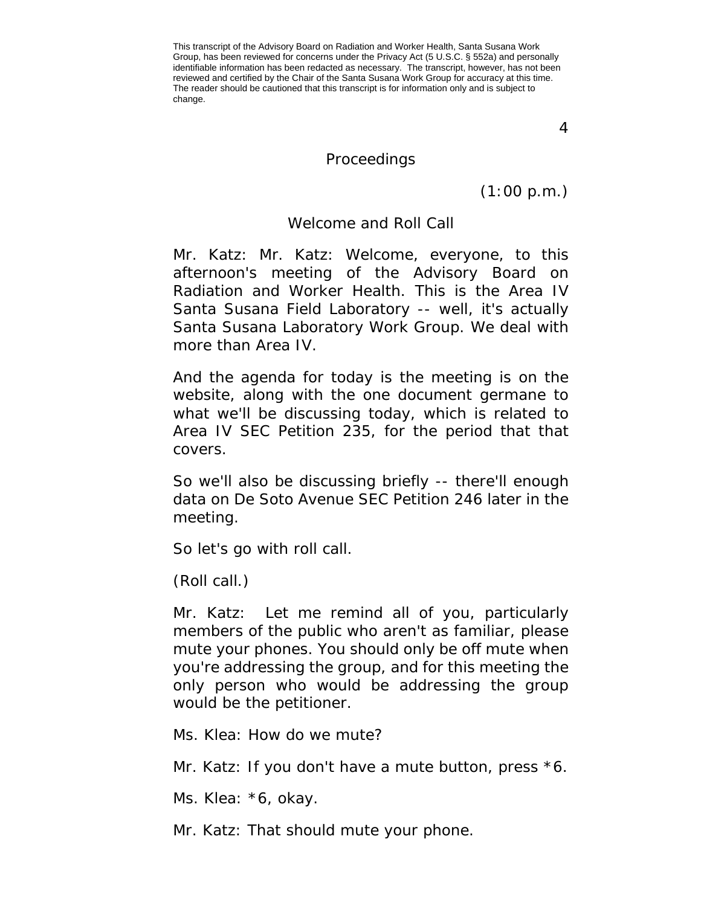4

### Proceedings

(1:00 p.m.)

#### Welcome and Roll Call

<span id="page-3-0"></span>Mr. Katz: Mr. Katz: Welcome, everyone, to this afternoon's meeting of the Advisory Board on Radiation and Worker Health. This is the Area IV Santa Susana Field Laboratory -- well, it's actually Santa Susana Laboratory Work Group. We deal with more than Area IV.

And the agenda for today is the meeting is on the website, along with the one document germane to what we'll be discussing today, which is related to Area IV SEC Petition 235, for the period that that covers.

So we'll also be discussing briefly -- there'll enough data on De Soto Avenue SEC Petition 246 later in the meeting.

So let's go with roll call.

(Roll call.)

Mr. Katz: Let me remind all of you, particularly members of the public who aren't as familiar, please mute your phones. You should only be off mute when you're addressing the group, and for this meeting the only person who would be addressing the group would be the petitioner.

Ms. Klea: How do we mute?

Mr. Katz: If you don't have a mute button, press  $*6$ .

Ms. Klea: \*6, okay.

Mr. Katz: That should mute your phone.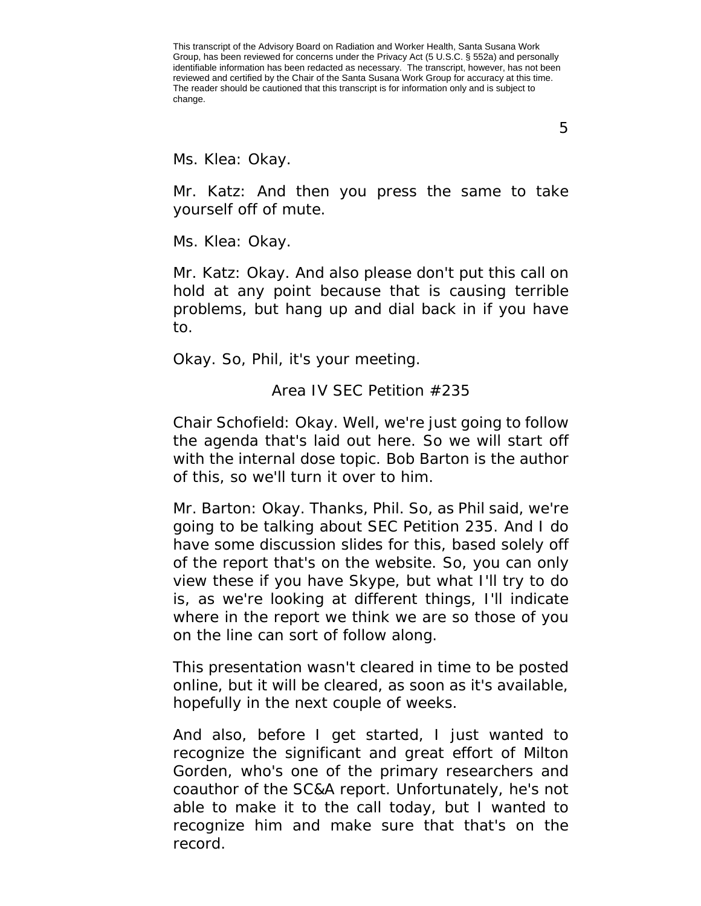Ms. Klea: Okay.

Mr. Katz: And then you press the same to take yourself off of mute.

Ms. Klea: Okay.

Mr. Katz: Okay. And also please don't put this call on hold at any point because that is causing terrible problems, but hang up and dial back in if you have to.

<span id="page-4-0"></span>Okay. So, Phil, it's your meeting.

Area IV SEC Petition #235

Chair Schofield: Okay. Well, we're just going to follow the agenda that's laid out here. So we will start off with the internal dose topic. Bob Barton is the author of this, so we'll turn it over to him.

Mr. Barton: Okay. Thanks, Phil. So, as Phil said, we're going to be talking about SEC Petition 235. And I do have some discussion slides for this, based solely off of the report that's on the website. So, you can only view these if you have Skype, but what I'll try to do is, as we're looking at different things, I'll indicate where in the report we think we are so those of you on the line can sort of follow along.

This presentation wasn't cleared in time to be posted online, but it will be cleared, as soon as it's available, hopefully in the next couple of weeks.

And also, before I get started, I just wanted to recognize the significant and great effort of Milton Gorden, who's one of the primary researchers and coauthor of the SC&A report. Unfortunately, he's not able to make it to the call today, but I wanted to recognize him and make sure that that's on the record.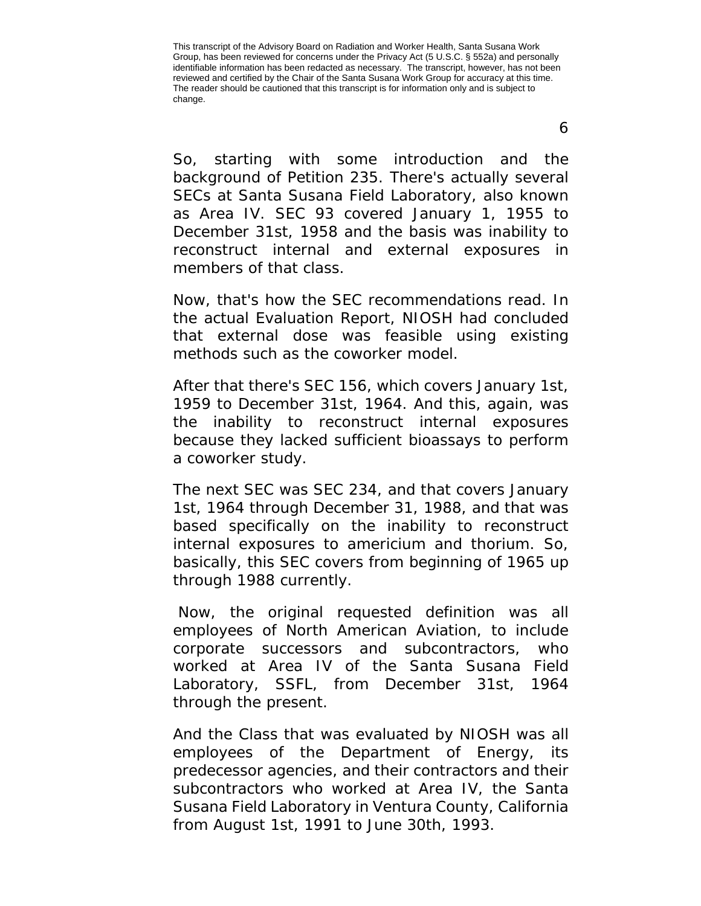So, starting with some introduction and the background of Petition 235. There's actually several SECs at Santa Susana Field Laboratory, also known as Area IV. SEC 93 covered January 1, 1955 to December 31st, 1958 and the basis was inability to reconstruct internal and external exposures in members of that class.

Now, that's how the SEC recommendations read. In the actual Evaluation Report, NIOSH had concluded that external dose was feasible using existing methods such as the coworker model.

After that there's SEC 156, which covers January 1st, 1959 to December 31st, 1964. And this, again, was the inability to reconstruct internal exposures because they lacked sufficient bioassays to perform a coworker study.

The next SEC was SEC 234, and that covers January 1st, 1964 through December 31, 1988, and that was based specifically on the inability to reconstruct internal exposures to americium and thorium. So, basically, this SEC covers from beginning of 1965 up through 1988 currently.

Now, the original requested definition was all employees of North American Aviation, to include corporate successors and subcontractors, who worked at Area IV of the Santa Susana Field Laboratory, SSFL, from December 31st, 1964 through the present.

And the Class that was evaluated by NIOSH was all employees of the Department of Energy, its predecessor agencies, and their contractors and their subcontractors who worked at Area IV, the Santa Susana Field Laboratory in Ventura County, California from August 1st, 1991 to June 30th, 1993.

6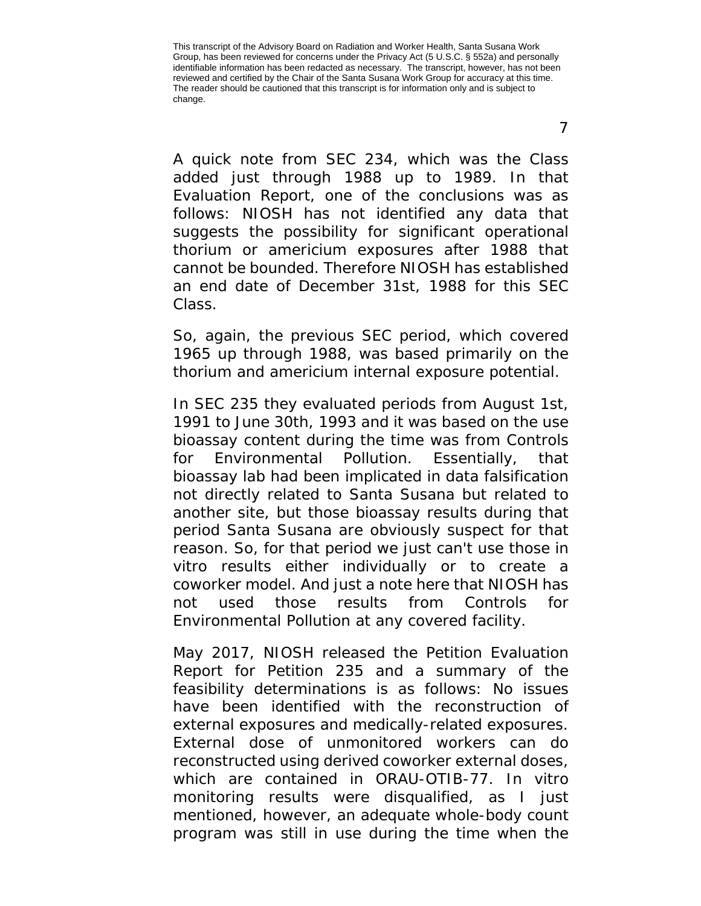A quick note from SEC 234, which was the Class added just through 1988 up to 1989. In that Evaluation Report, one of the conclusions was as follows: NIOSH has not identified any data that suggests the possibility for significant operational thorium or americium exposures after 1988 that cannot be bounded. Therefore NIOSH has established an end date of December 31st, 1988 for this SEC Class.

So, again, the previous SEC period, which covered 1965 up through 1988, was based primarily on the thorium and americium internal exposure potential.

In SEC 235 they evaluated periods from August 1st, 1991 to June 30th, 1993 and it was based on the use bioassay content during the time was from Controls for Environmental Pollution. Essentially, that bioassay lab had been implicated in data falsification not directly related to Santa Susana but related to another site, but those bioassay results during that period Santa Susana are obviously suspect for that reason. So, for that period we just can't use those in vitro results either individually or to create a coworker model. And just a note here that NIOSH has not used those results from Controls for Environmental Pollution at any covered facility.

May 2017, NIOSH released the Petition Evaluation Report for Petition 235 and a summary of the feasibility determinations is as follows: No issues have been identified with the reconstruction of external exposures and medically-related exposures. External dose of unmonitored workers can do reconstructed using derived coworker external doses, which are contained in ORAU-OTIB-77. In vitro monitoring results were disqualified, as I just mentioned, however, an adequate whole-body count program was still in use during the time when the

7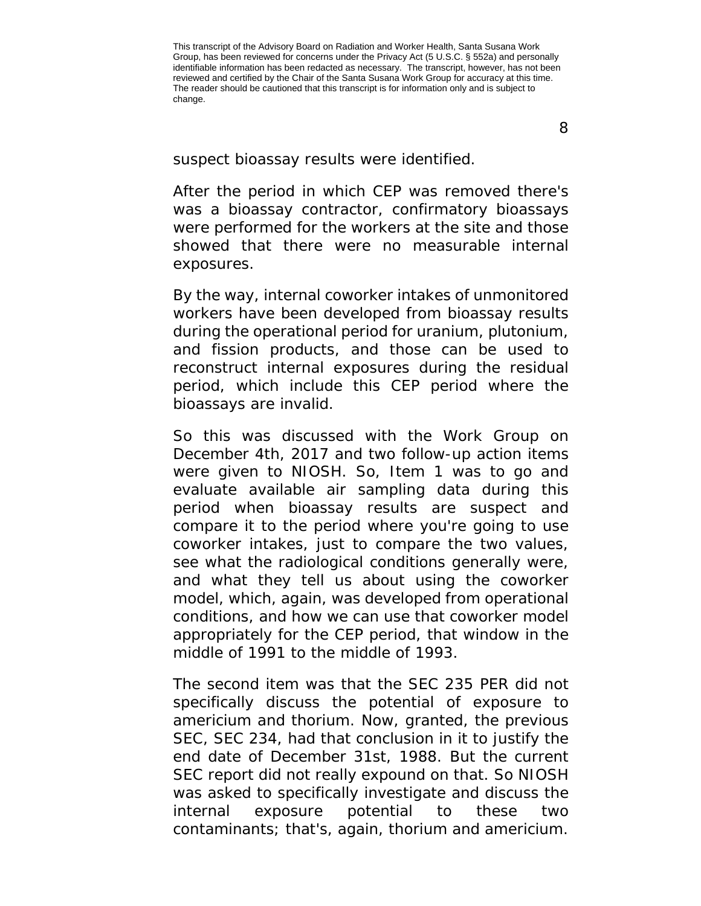8

suspect bioassay results were identified.

After the period in which CEP was removed there's was a bioassay contractor, confirmatory bioassays were performed for the workers at the site and those showed that there were no measurable internal exposures.

By the way, internal coworker intakes of unmonitored workers have been developed from bioassay results during the operational period for uranium, plutonium, and fission products, and those can be used to reconstruct internal exposures during the residual period, which include this CEP period where the bioassays are invalid.

So this was discussed with the Work Group on December 4th, 2017 and two follow-up action items were given to NIOSH. So, Item 1 was to go and evaluate available air sampling data during this period when bioassay results are suspect and compare it to the period where you're going to use coworker intakes, just to compare the two values, see what the radiological conditions generally were, and what they tell us about using the coworker model, which, again, was developed from operational conditions, and how we can use that coworker model appropriately for the CEP period, that window in the middle of 1991 to the middle of 1993.

The second item was that the SEC 235 PER did not specifically discuss the potential of exposure to americium and thorium. Now, granted, the previous SEC, SEC 234, had that conclusion in it to justify the end date of December 31st, 1988. But the current SEC report did not really expound on that. So NIOSH was asked to specifically investigate and discuss the internal exposure potential to these two contaminants; that's, again, thorium and americium.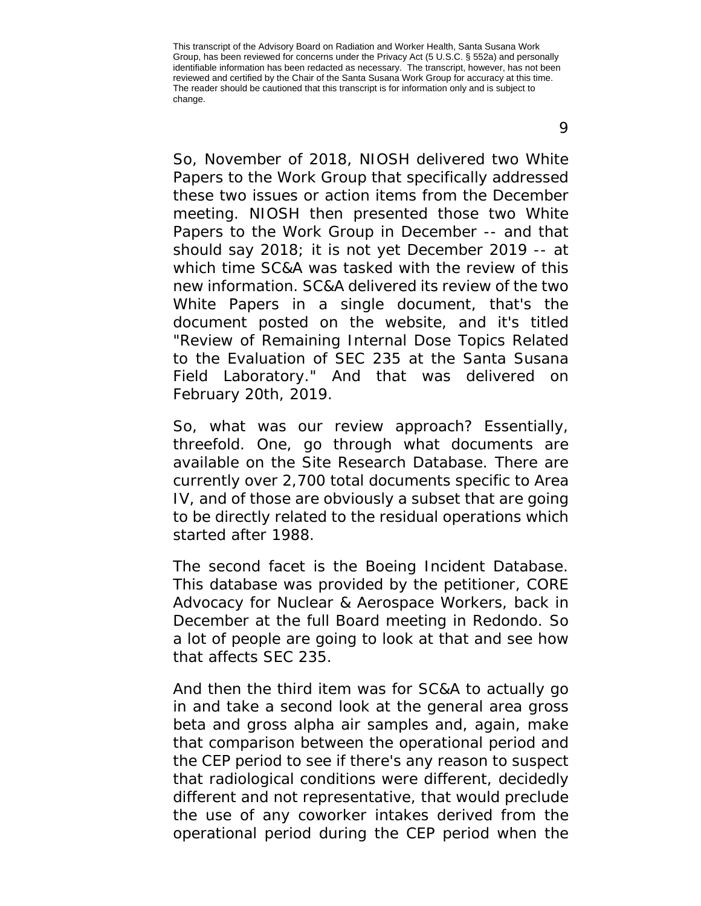So, November of 2018, NIOSH delivered two White Papers to the Work Group that specifically addressed these two issues or action items from the December meeting. NIOSH then presented those two White Papers to the Work Group in December -- and that should say 2018; it is not yet December 2019 -- at which time SC&A was tasked with the review of this new information. SC&A delivered its review of the two White Papers in a single document, that's the document posted on the website, and it's titled "Review of Remaining Internal Dose Topics Related to the Evaluation of SEC 235 at the Santa Susana Field Laboratory." And that was delivered on February 20th, 2019.

So, what was our review approach? Essentially, threefold. One, go through what documents are available on the Site Research Database. There are currently over 2,700 total documents specific to Area IV, and of those are obviously a subset that are going to be directly related to the residual operations which started after 1988.

The second facet is the Boeing Incident Database. This database was provided by the petitioner, CORE Advocacy for Nuclear & Aerospace Workers, back in December at the full Board meeting in Redondo. So a lot of people are going to look at that and see how that affects SEC 235.

And then the third item was for SC&A to actually go in and take a second look at the general area gross beta and gross alpha air samples and, again, make that comparison between the operational period and the CEP period to see if there's any reason to suspect that radiological conditions were different, decidedly different and not representative, that would preclude the use of any coworker intakes derived from the operational period during the CEP period when the

9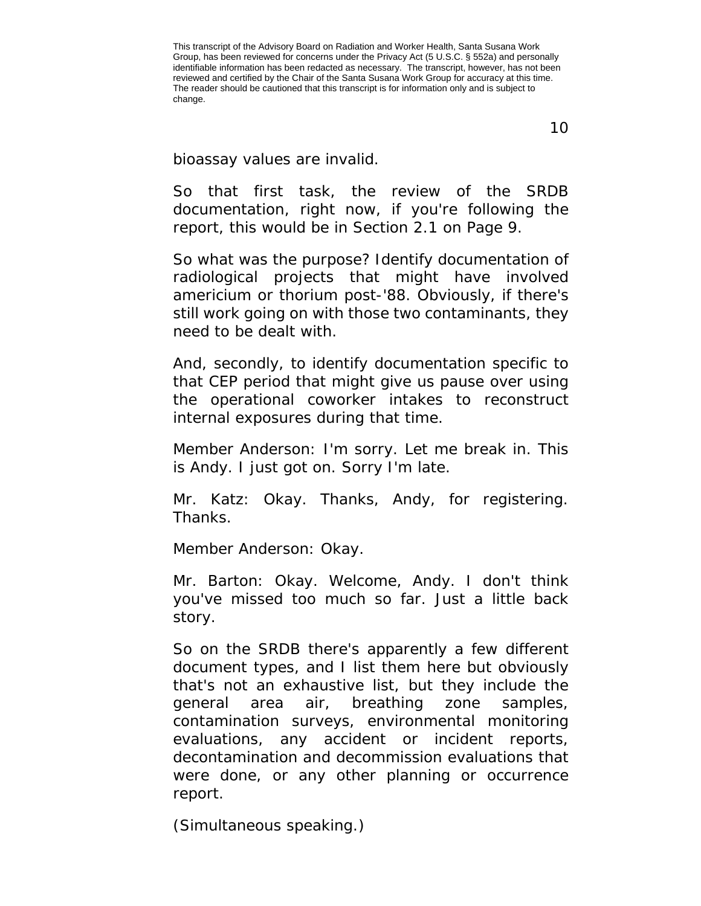bioassay values are invalid.

So that first task, the review of the SRDB documentation, right now, if you're following the report, this would be in Section 2.1 on Page 9.

So what was the purpose? Identify documentation of radiological projects that might have involved americium or thorium post-'88. Obviously, if there's still work going on with those two contaminants, they need to be dealt with.

And, secondly, to identify documentation specific to that CEP period that might give us pause over using the operational coworker intakes to reconstruct internal exposures during that time.

Member Anderson: I'm sorry. Let me break in. This is Andy. I just got on. Sorry I'm late.

Mr. Katz: Okay. Thanks, Andy, for registering. Thanks.

Member Anderson: Okay.

Mr. Barton: Okay. Welcome, Andy. I don't think you've missed too much so far. Just a little back story.

So on the SRDB there's apparently a few different document types, and I list them here but obviously that's not an exhaustive list, but they include the general area air, breathing zone samples, contamination surveys, environmental monitoring evaluations, any accident or incident reports, decontamination and decommission evaluations that were done, or any other planning or occurrence report.

(Simultaneous speaking.)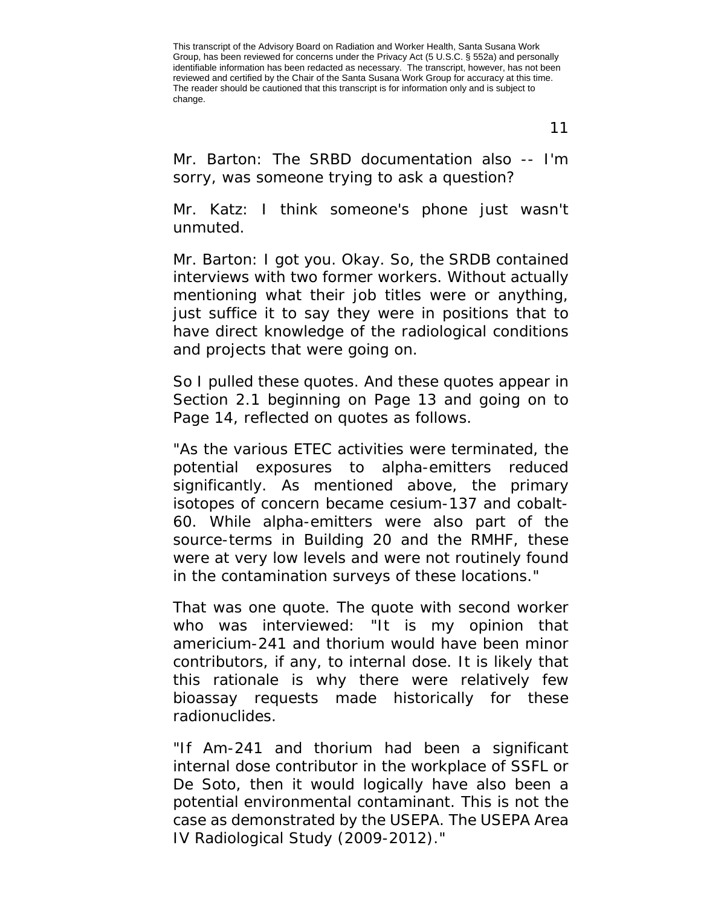11

Mr. Barton: The SRBD documentation also -- I'm sorry, was someone trying to ask a question?

Mr. Katz: I think someone's phone just wasn't unmuted.

Mr. Barton: I got you. Okay. So, the SRDB contained interviews with two former workers. Without actually mentioning what their job titles were or anything, just suffice it to say they were in positions that to have direct knowledge of the radiological conditions and projects that were going on.

So I pulled these quotes. And these quotes appear in Section 2.1 beginning on Page 13 and going on to Page 14, reflected on quotes as follows.

"As the various ETEC activities were terminated, the potential exposures to alpha-emitters reduced significantly. As mentioned above, the primary isotopes of concern became cesium-137 and cobalt-60. While alpha-emitters were also part of the source-terms in Building 20 and the RMHF, these were at very low levels and were not routinely found in the contamination surveys of these locations."

That was one quote. The quote with second worker who was interviewed: "It is my opinion that americium-241 and thorium would have been minor contributors, if any, to internal dose. It is likely that this rationale is why there were relatively few bioassay requests made historically for these radionuclides.

"If Am-241 and thorium had been a significant internal dose contributor in the workplace of SSFL or De Soto, then it would logically have also been a potential environmental contaminant. This is not the case as demonstrated by the USEPA. The USEPA Area IV Radiological Study (2009-2012)."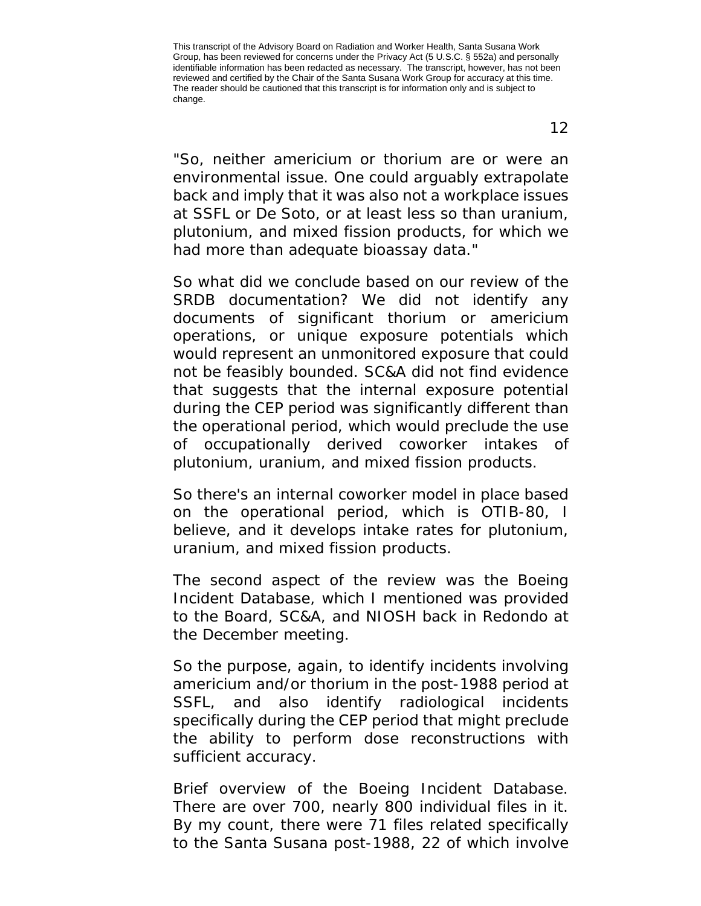"So, neither americium or thorium are or were an environmental issue. One could arguably extrapolate back and imply that it was also not a workplace issues at SSFL or De Soto, or at least less so than uranium, plutonium, and mixed fission products, for which we had more than adequate bioassay data."

So what did we conclude based on our review of the SRDB documentation? We did not identify any documents of significant thorium or americium operations, or unique exposure potentials which would represent an unmonitored exposure that could not be feasibly bounded. SC&A did not find evidence that suggests that the internal exposure potential during the CEP period was significantly different than the operational period, which would preclude the use of occupationally derived coworker intakes of plutonium, uranium, and mixed fission products.

So there's an internal coworker model in place based on the operational period, which is OTIB-80, I believe, and it develops intake rates for plutonium, uranium, and mixed fission products.

The second aspect of the review was the Boeing Incident Database, which I mentioned was provided to the Board, SC&A, and NIOSH back in Redondo at the December meeting.

So the purpose, again, to identify incidents involving americium and/or thorium in the post-1988 period at SSFL, and also identify radiological incidents specifically during the CEP period that might preclude the ability to perform dose reconstructions with sufficient accuracy.

Brief overview of the Boeing Incident Database. There are over 700, nearly 800 individual files in it. By my count, there were 71 files related specifically to the Santa Susana post-1988, 22 of which involve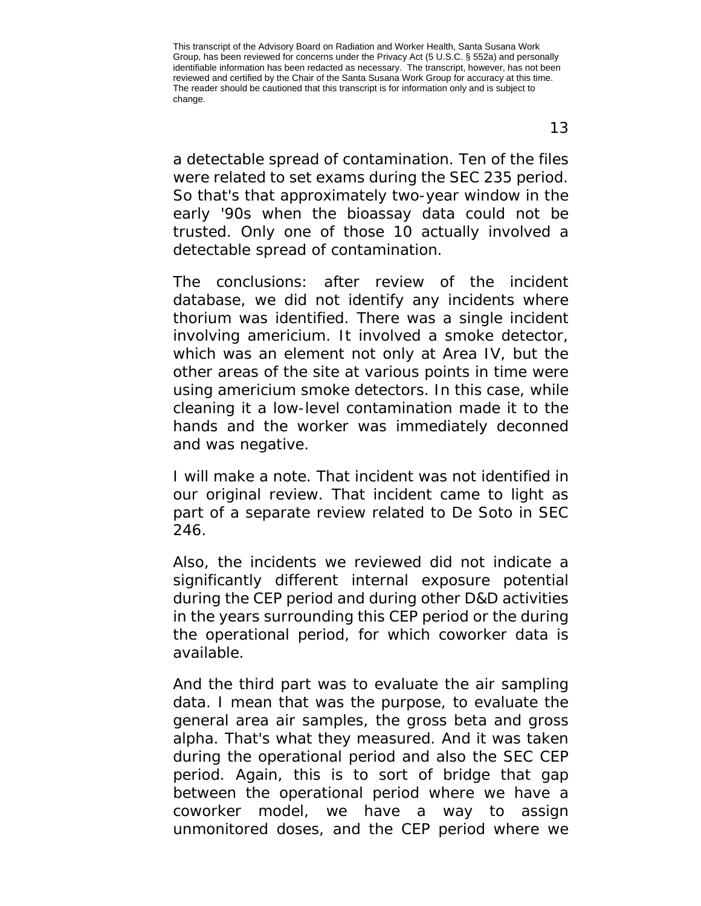a detectable spread of contamination. Ten of the files were related to set exams during the SEC 235 period. So that's that approximately two-year window in the early '90s when the bioassay data could not be trusted. Only one of those 10 actually involved a detectable spread of contamination.

The conclusions: after review of the incident database, we did not identify any incidents where thorium was identified. There was a single incident involving americium. It involved a smoke detector, which was an element not only at Area IV, but the other areas of the site at various points in time were using americium smoke detectors. In this case, while cleaning it a low-level contamination made it to the hands and the worker was immediately deconned and was negative.

I will make a note. That incident was not identified in our original review. That incident came to light as part of a separate review related to De Soto in SEC 246.

Also, the incidents we reviewed did not indicate a significantly different internal exposure potential during the CEP period and during other D&D activities in the years surrounding this CEP period or the during the operational period, for which coworker data is available.

And the third part was to evaluate the air sampling data. I mean that was the purpose, to evaluate the general area air samples, the gross beta and gross alpha. That's what they measured. And it was taken during the operational period and also the SEC CEP period. Again, this is to sort of bridge that gap between the operational period where we have a coworker model, we have a way to assign unmonitored doses, and the CEP period where we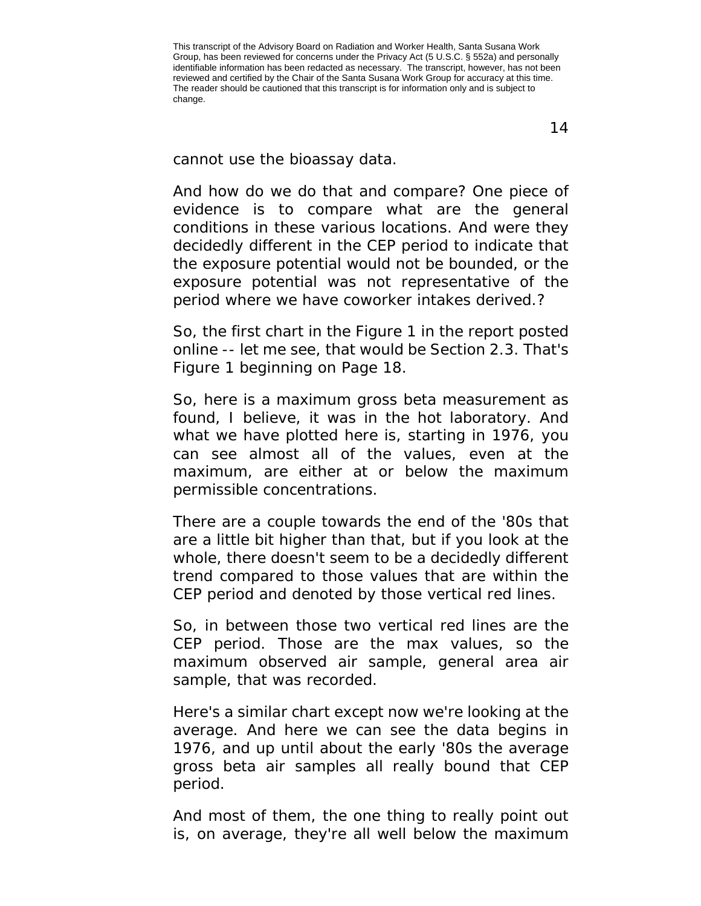cannot use the bioassay data.

And how do we do that and compare? One piece of evidence is to compare what are the general conditions in these various locations. And were they decidedly different in the CEP period to indicate that the exposure potential would not be bounded, or the exposure potential was not representative of the period where we have coworker intakes derived.?

So, the first chart in the Figure 1 in the report posted online -- let me see, that would be Section 2.3. That's Figure 1 beginning on Page 18.

So, here is a maximum gross beta measurement as found, I believe, it was in the hot laboratory. And what we have plotted here is, starting in 1976, you can see almost all of the values, even at the maximum, are either at or below the maximum permissible concentrations.

There are a couple towards the end of the '80s that are a little bit higher than that, but if you look at the whole, there doesn't seem to be a decidedly different trend compared to those values that are within the CEP period and denoted by those vertical red lines.

So, in between those two vertical red lines are the CEP period. Those are the max values, so the maximum observed air sample, general area air sample, that was recorded.

Here's a similar chart except now we're looking at the average. And here we can see the data begins in 1976, and up until about the early '80s the average gross beta air samples all really bound that CEP period.

And most of them, the one thing to really point out is, on average, they're all well below the maximum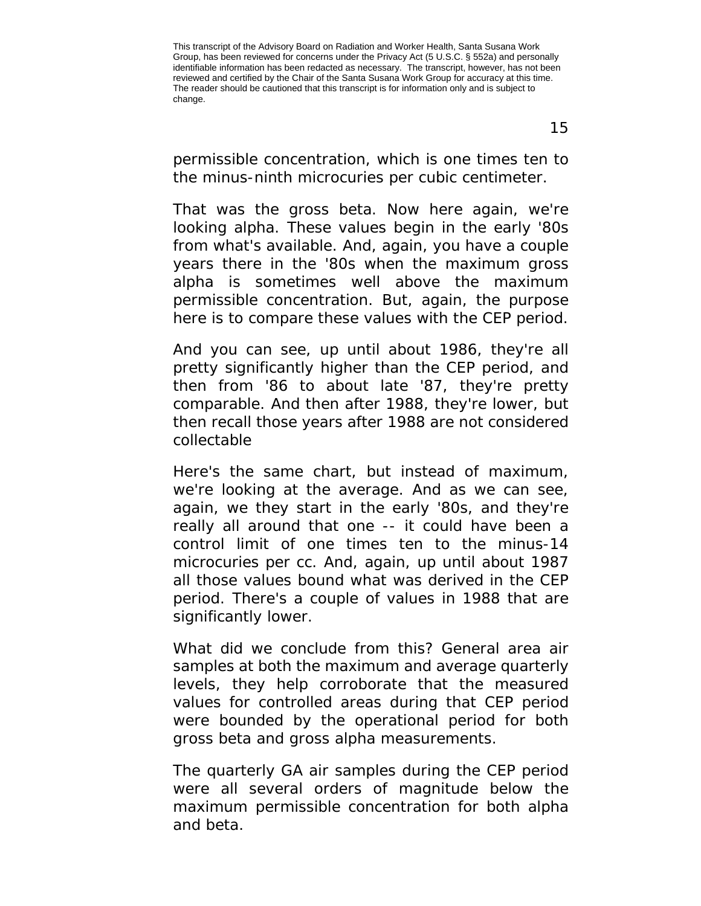permissible concentration, which is one times ten to the minus-ninth microcuries per cubic centimeter.

That was the gross beta. Now here again, we're looking alpha. These values begin in the early '80s from what's available. And, again, you have a couple years there in the '80s when the maximum gross alpha is sometimes well above the maximum permissible concentration. But, again, the purpose here is to compare these values with the CEP period.

And you can see, up until about 1986, they're all pretty significantly higher than the CEP period, and then from '86 to about late '87, they're pretty comparable. And then after 1988, they're lower, but then recall those years after 1988 are not considered collectable

Here's the same chart, but instead of maximum, we're looking at the average. And as we can see, again, we they start in the early '80s, and they're really all around that one -- it could have been a control limit of one times ten to the minus-14 microcuries per cc. And, again, up until about 1987 all those values bound what was derived in the CEP period. There's a couple of values in 1988 that are significantly lower.

What did we conclude from this? General area air samples at both the maximum and average quarterly levels, they help corroborate that the measured values for controlled areas during that CEP period were bounded by the operational period for both gross beta and gross alpha measurements.

The quarterly GA air samples during the CEP period were all several orders of magnitude below the maximum permissible concentration for both alpha and beta.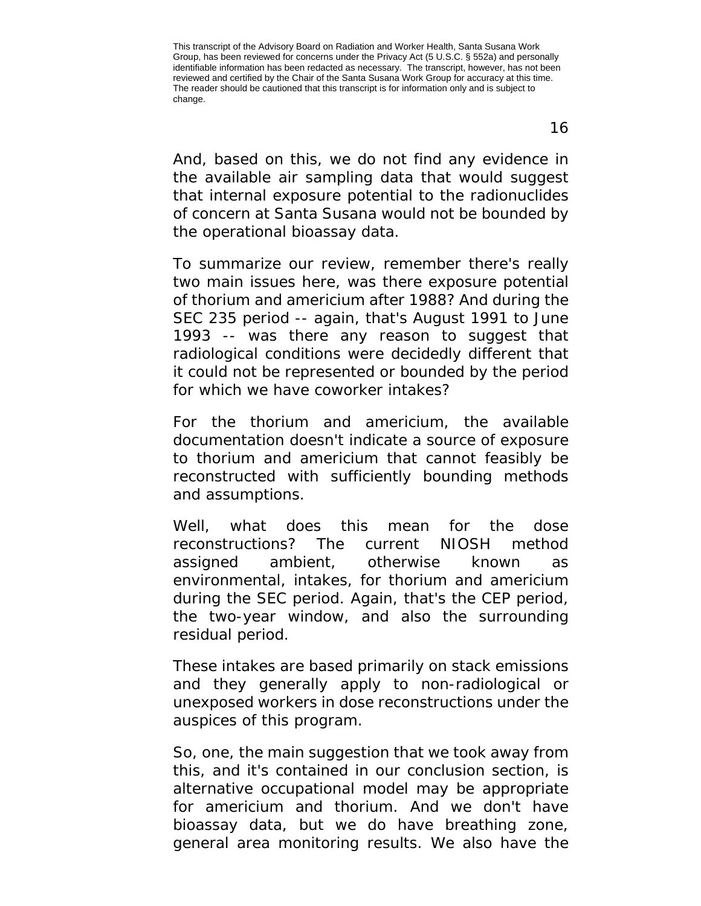And, based on this, we do not find any evidence in the available air sampling data that would suggest that internal exposure potential to the radionuclides of concern at Santa Susana would not be bounded by the operational bioassay data.

To summarize our review, remember there's really two main issues here, was there exposure potential of thorium and americium after 1988? And during the SEC 235 period -- again, that's August 1991 to June 1993 -- was there any reason to suggest that radiological conditions were decidedly different that it could not be represented or bounded by the period for which we have coworker intakes?

For the thorium and americium, the available documentation doesn't indicate a source of exposure to thorium and americium that cannot feasibly be reconstructed with sufficiently bounding methods and assumptions.

Well, what does this mean for the dose reconstructions? The current NIOSH method assigned ambient, otherwise known as environmental, intakes, for thorium and americium during the SEC period. Again, that's the CEP period, the two-year window, and also the surrounding residual period.

These intakes are based primarily on stack emissions and they generally apply to non-radiological or unexposed workers in dose reconstructions under the auspices of this program.

So, one, the main suggestion that we took away from this, and it's contained in our conclusion section, is alternative occupational model may be appropriate for americium and thorium. And we don't have bioassay data, but we do have breathing zone, general area monitoring results. We also have the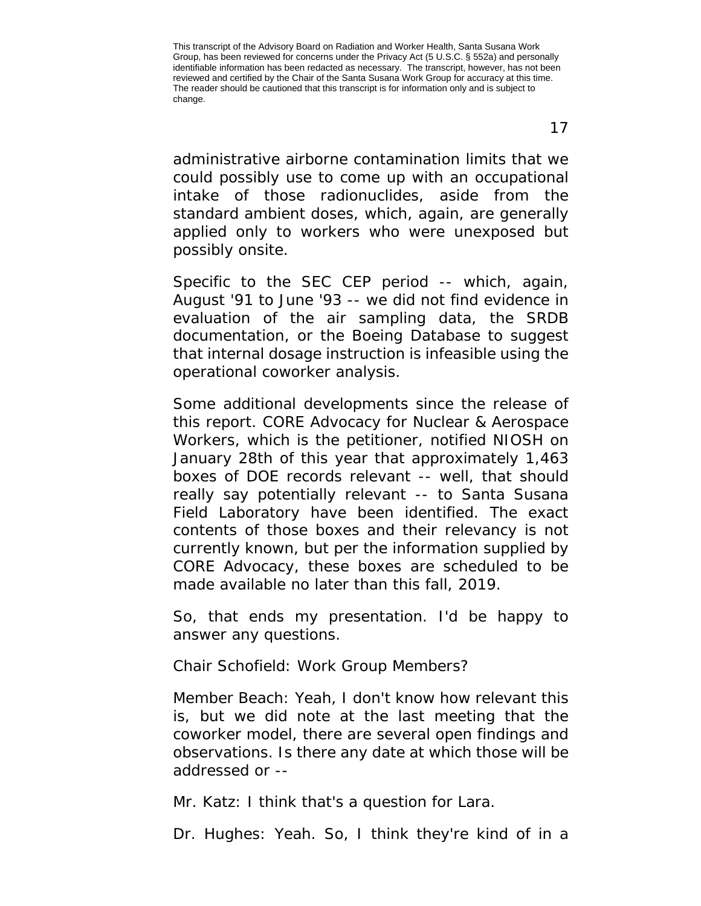administrative airborne contamination limits that we could possibly use to come up with an occupational intake of those radionuclides, aside from the standard ambient doses, which, again, are generally applied only to workers who were unexposed but possibly onsite.

Specific to the SEC CEP period -- which, again, August '91 to June '93 -- we did not find evidence in evaluation of the air sampling data, the SRDB documentation, or the Boeing Database to suggest that internal dosage instruction is infeasible using the operational coworker analysis.

Some additional developments since the release of this report. CORE Advocacy for Nuclear & Aerospace Workers, which is the petitioner, notified NIOSH on January 28th of this year that approximately 1,463 boxes of DOE records relevant -- well, that should really say potentially relevant -- to Santa Susana Field Laboratory have been identified. The exact contents of those boxes and their relevancy is not currently known, but per the information supplied by CORE Advocacy, these boxes are scheduled to be made available no later than this fall, 2019.

So, that ends my presentation. I'd be happy to answer any questions.

Chair Schofield: Work Group Members?

Member Beach: Yeah, I don't know how relevant this is, but we did note at the last meeting that the coworker model, there are several open findings and observations. Is there any date at which those will be addressed or --

Mr. Katz: I think that's a question for Lara.

Dr. Hughes: Yeah. So, I think they're kind of in a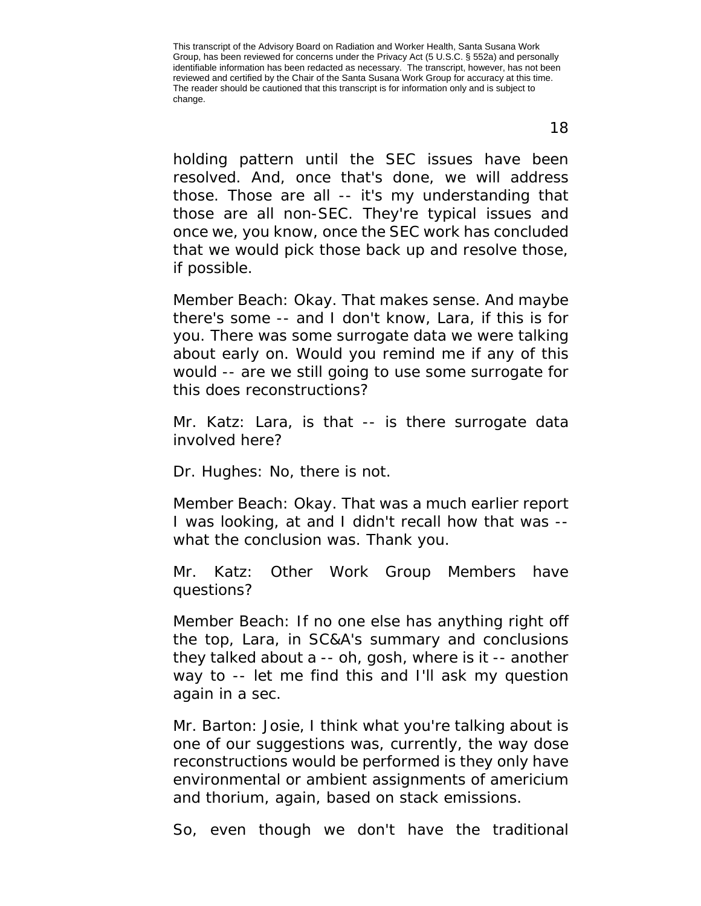holding pattern until the SEC issues have been resolved. And, once that's done, we will address those. Those are all -- it's my understanding that those are all non-SEC. They're typical issues and once we, you know, once the SEC work has concluded that we would pick those back up and resolve those, if possible.

Member Beach: Okay. That makes sense. And maybe there's some -- and I don't know, Lara, if this is for you. There was some surrogate data we were talking about early on. Would you remind me if any of this would -- are we still going to use some surrogate for this does reconstructions?

Mr. Katz: Lara, is that -- is there surrogate data involved here?

Dr. Hughes: No, there is not.

Member Beach: Okay. That was a much earlier report I was looking, at and I didn't recall how that was - what the conclusion was. Thank you.

Mr. Katz: Other Work Group Members have questions?

Member Beach: If no one else has anything right off the top, Lara, in SC&A's summary and conclusions they talked about a -- oh, gosh, where is it -- another way to -- let me find this and I'll ask my question again in a sec.

Mr. Barton: Josie, I think what you're talking about is one of our suggestions was, currently, the way dose reconstructions would be performed is they only have environmental or ambient assignments of americium and thorium, again, based on stack emissions.

So, even though we don't have the traditional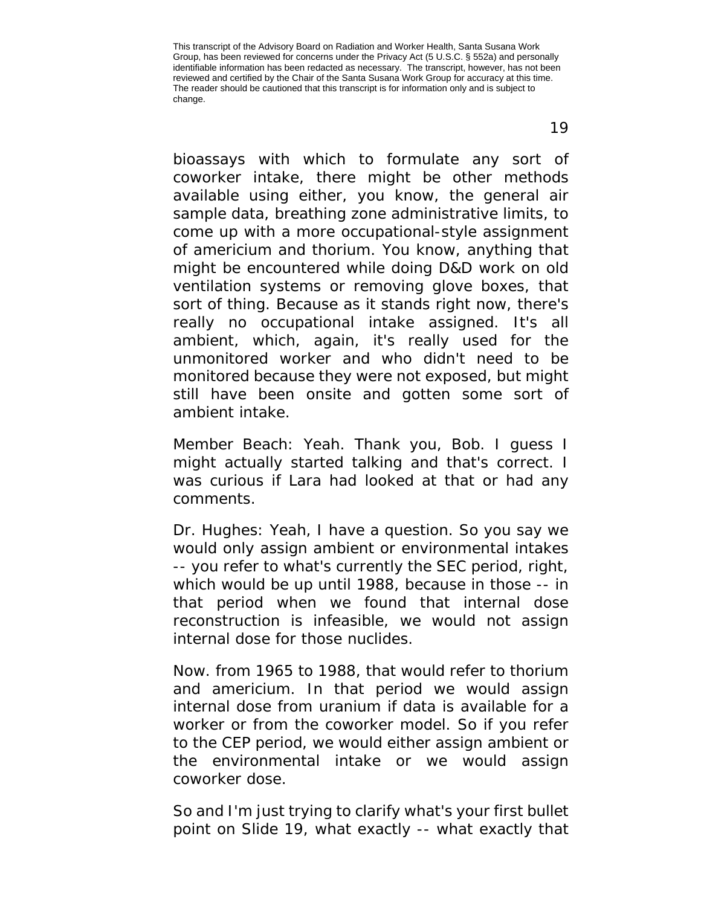bioassays with which to formulate any sort of

coworker intake, there might be other methods available using either, you know, the general air sample data, breathing zone administrative limits, to come up with a more occupational-style assignment of americium and thorium. You know, anything that might be encountered while doing D&D work on old ventilation systems or removing glove boxes, that sort of thing. Because as it stands right now, there's really no occupational intake assigned. It's all ambient, which, again, it's really used for the unmonitored worker and who didn't need to be monitored because they were not exposed, but might still have been onsite and gotten some sort of ambient intake.

Member Beach: Yeah. Thank you, Bob. I guess I might actually started talking and that's correct. I was curious if Lara had looked at that or had any comments.

Dr. Hughes: Yeah, I have a question. So you say we would only assign ambient or environmental intakes -- you refer to what's currently the SEC period, right, which would be up until 1988, because in those -- in that period when we found that internal dose reconstruction is infeasible, we would not assign internal dose for those nuclides.

Now. from 1965 to 1988, that would refer to thorium and americium. In that period we would assign internal dose from uranium if data is available for a worker or from the coworker model. So if you refer to the CEP period, we would either assign ambient or the environmental intake or we would assign coworker dose.

So and I'm just trying to clarify what's your first bullet point on Slide 19, what exactly -- what exactly that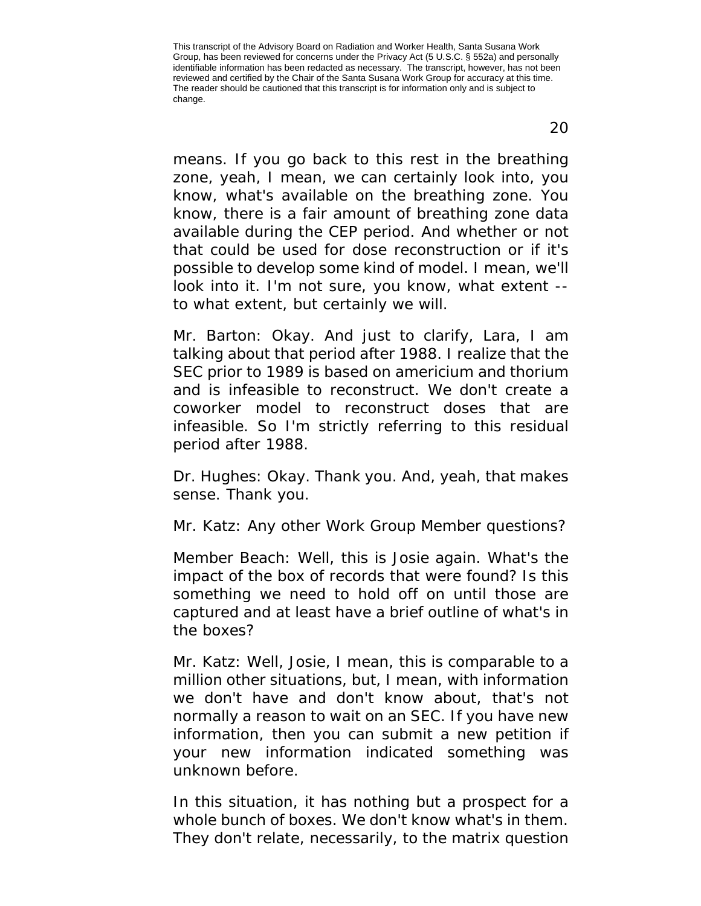means. If you go back to this rest in the breathing zone, yeah, I mean, we can certainly look into, you know, what's available on the breathing zone. You know, there is a fair amount of breathing zone data available during the CEP period. And whether or not that could be used for dose reconstruction or if it's possible to develop some kind of model. I mean, we'll look into it. I'm not sure, you know, what extent - to what extent, but certainly we will.

Mr. Barton: Okay. And just to clarify, Lara, I am talking about that period after 1988. I realize that the SEC prior to 1989 is based on americium and thorium and is infeasible to reconstruct. We don't create a coworker model to reconstruct doses that are infeasible. So I'm strictly referring to this residual period after 1988.

Dr. Hughes: Okay. Thank you. And, yeah, that makes sense. Thank you.

Mr. Katz: Any other Work Group Member questions?

Member Beach: Well, this is Josie again. What's the impact of the box of records that were found? Is this something we need to hold off on until those are captured and at least have a brief outline of what's in the boxes?

Mr. Katz: Well, Josie, I mean, this is comparable to a million other situations, but, I mean, with information we don't have and don't know about, that's not normally a reason to wait on an SEC. If you have new information, then you can submit a new petition if your new information indicated something was unknown before.

In this situation, it has nothing but a prospect for a whole bunch of boxes. We don't know what's in them. They don't relate, necessarily, to the matrix question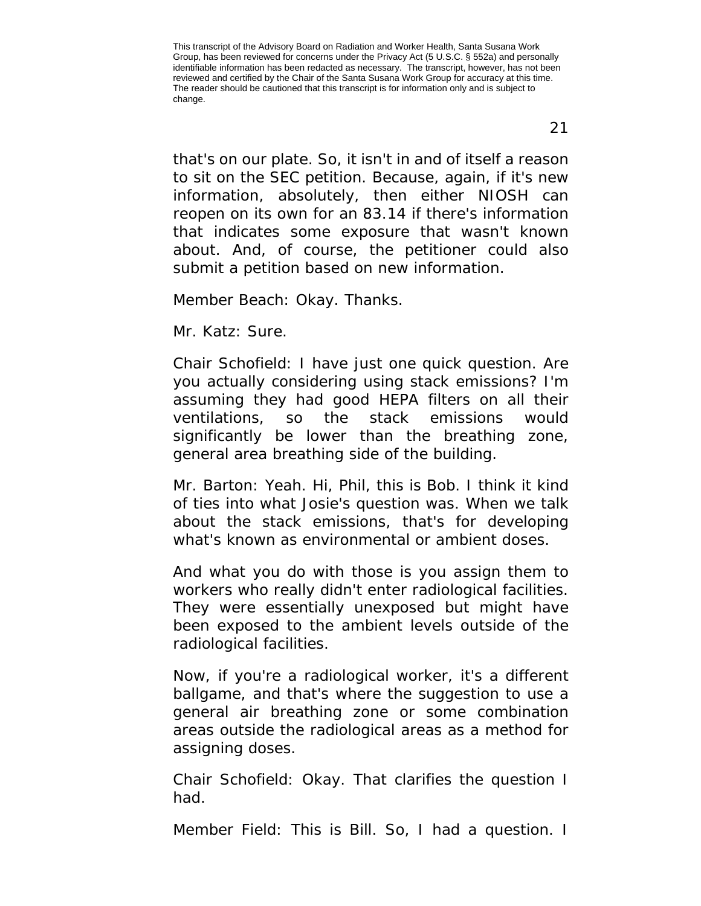that's on our plate. So, it isn't in and of itself a reason to sit on the SEC petition. Because, again, if it's new information, absolutely, then either NIOSH can reopen on its own for an 83.14 if there's information that indicates some exposure that wasn't known about. And, of course, the petitioner could also submit a petition based on new information.

Member Beach: Okay. Thanks.

Mr. Katz: Sure.

Chair Schofield: I have just one quick question. Are you actually considering using stack emissions? I'm assuming they had good HEPA filters on all their ventilations, so the stack emissions would significantly be lower than the breathing zone, general area breathing side of the building.

Mr. Barton: Yeah. Hi, Phil, this is Bob. I think it kind of ties into what Josie's question was. When we talk about the stack emissions, that's for developing what's known as environmental or ambient doses.

And what you do with those is you assign them to workers who really didn't enter radiological facilities. They were essentially unexposed but might have been exposed to the ambient levels outside of the radiological facilities.

Now, if you're a radiological worker, it's a different ballgame, and that's where the suggestion to use a general air breathing zone or some combination areas outside the radiological areas as a method for assigning doses.

Chair Schofield: Okay. That clarifies the question I had.

Member Field: This is Bill. So, I had a question. I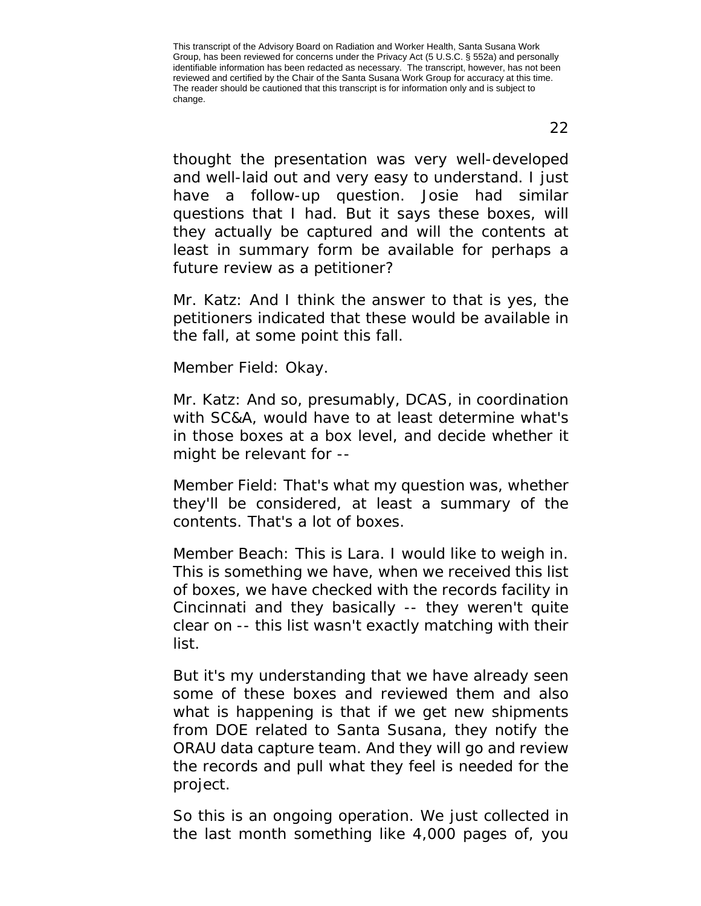thought the presentation was very well-developed and well-laid out and very easy to understand. I just have a follow-up question. Josie had similar questions that I had. But it says these boxes, will they actually be captured and will the contents at least in summary form be available for perhaps a future review as a petitioner?

Mr. Katz: And I think the answer to that is yes, the petitioners indicated that these would be available in the fall, at some point this fall.

Member Field: Okay.

Mr. Katz: And so, presumably, DCAS, in coordination with SC&A, would have to at least determine what's in those boxes at a box level, and decide whether it might be relevant for --

Member Field: That's what my question was, whether they'll be considered, at least a summary of the contents. That's a lot of boxes.

Member Beach: This is Lara. I would like to weigh in. This is something we have, when we received this list of boxes, we have checked with the records facility in Cincinnati and they basically -- they weren't quite clear on -- this list wasn't exactly matching with their list.

But it's my understanding that we have already seen some of these boxes and reviewed them and also what is happening is that if we get new shipments from DOE related to Santa Susana, they notify the ORAU data capture team. And they will go and review the records and pull what they feel is needed for the project.

So this is an ongoing operation. We just collected in the last month something like 4,000 pages of, you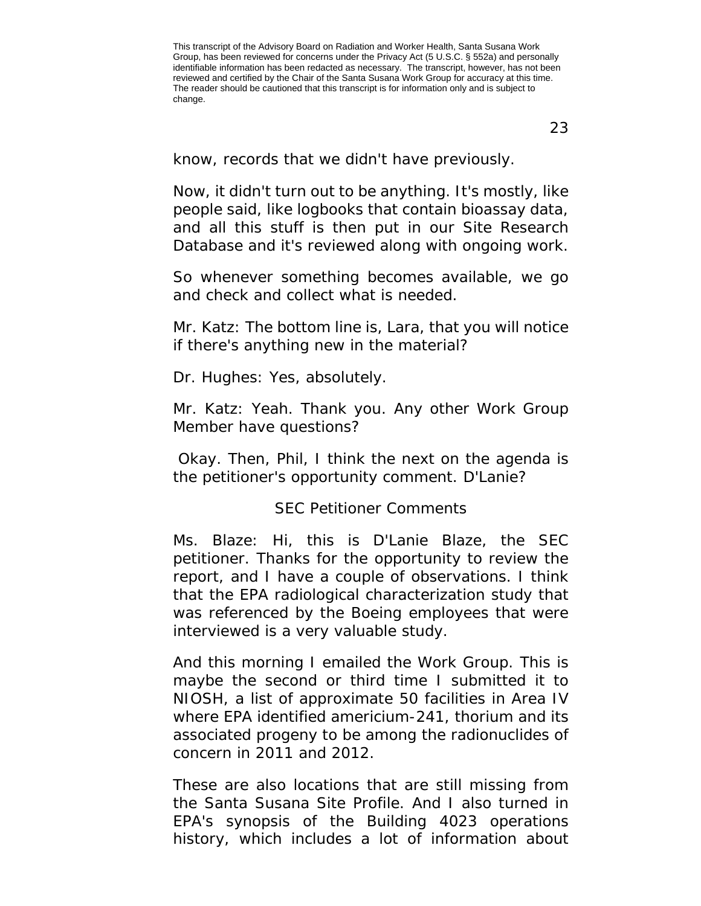23

know, records that we didn't have previously.

Now, it didn't turn out to be anything. It's mostly, like people said, like logbooks that contain bioassay data, and all this stuff is then put in our Site Research Database and it's reviewed along with ongoing work.

So whenever something becomes available, we go and check and collect what is needed.

Mr. Katz: The bottom line is, Lara, that you will notice if there's anything new in the material?

Dr. Hughes: Yes, absolutely.

Mr. Katz: Yeah. Thank you. Any other Work Group Member have questions?

Okay. Then, Phil, I think the next on the agenda is the petitioner's opportunity comment. D'Lanie?

## SEC Petitioner Comments

<span id="page-22-0"></span>Ms. Blaze: Hi, this is D'Lanie Blaze, the SEC petitioner. Thanks for the opportunity to review the report, and I have a couple of observations. I think that the EPA radiological characterization study that was referenced by the Boeing employees that were interviewed is a very valuable study.

And this morning I emailed the Work Group. This is maybe the second or third time I submitted it to NIOSH, a list of approximate 50 facilities in Area IV where EPA identified americium-241, thorium and its associated progeny to be among the radionuclides of concern in 2011 and 2012.

These are also locations that are still missing from the Santa Susana Site Profile. And I also turned in EPA's synopsis of the Building 4023 operations history, which includes a lot of information about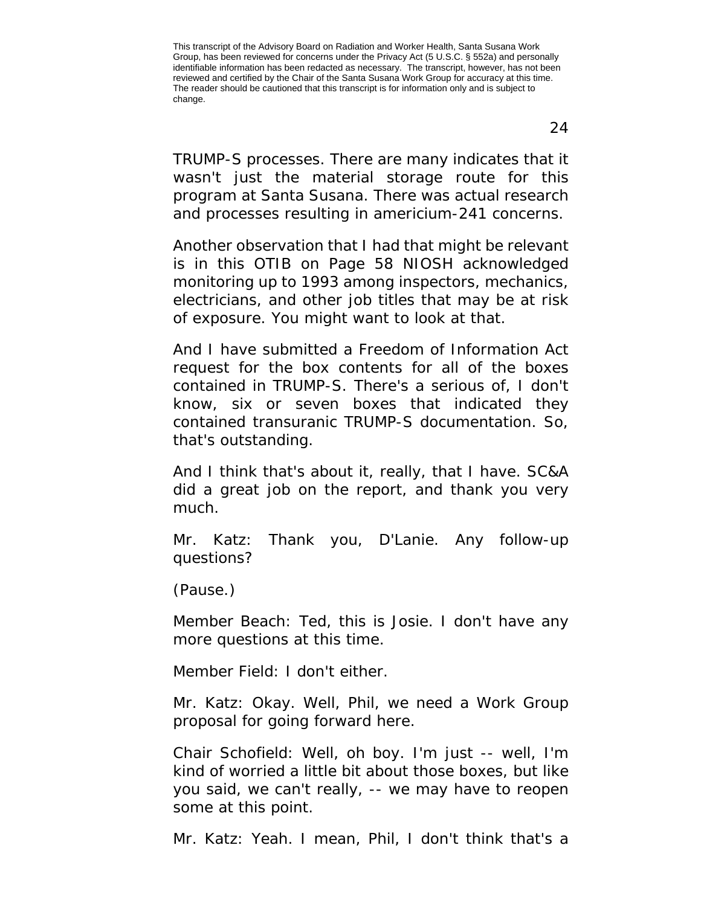TRUMP-S processes. There are many indicates that it wasn't just the material storage route for this program at Santa Susana. There was actual research and processes resulting in americium-241 concerns.

Another observation that I had that might be relevant is in this OTIB on Page 58 NIOSH acknowledged monitoring up to 1993 among inspectors, mechanics, electricians, and other job titles that may be at risk of exposure. You might want to look at that.

And I have submitted a Freedom of Information Act request for the box contents for all of the boxes contained in TRUMP-S. There's a serious of, I don't know, six or seven boxes that indicated they contained transuranic TRUMP-S documentation. So, that's outstanding.

And I think that's about it, really, that I have. SC&A did a great job on the report, and thank you very much.

Mr. Katz: Thank you, D'Lanie. Any follow-up questions?

(Pause.)

Member Beach: Ted, this is Josie. I don't have any more questions at this time.

Member Field: I don't either.

Mr. Katz: Okay. Well, Phil, we need a Work Group proposal for going forward here.

Chair Schofield: Well, oh boy. I'm just -- well, I'm kind of worried a little bit about those boxes, but like you said, we can't really, -- we may have to reopen some at this point.

Mr. Katz: Yeah. I mean, Phil, I don't think that's a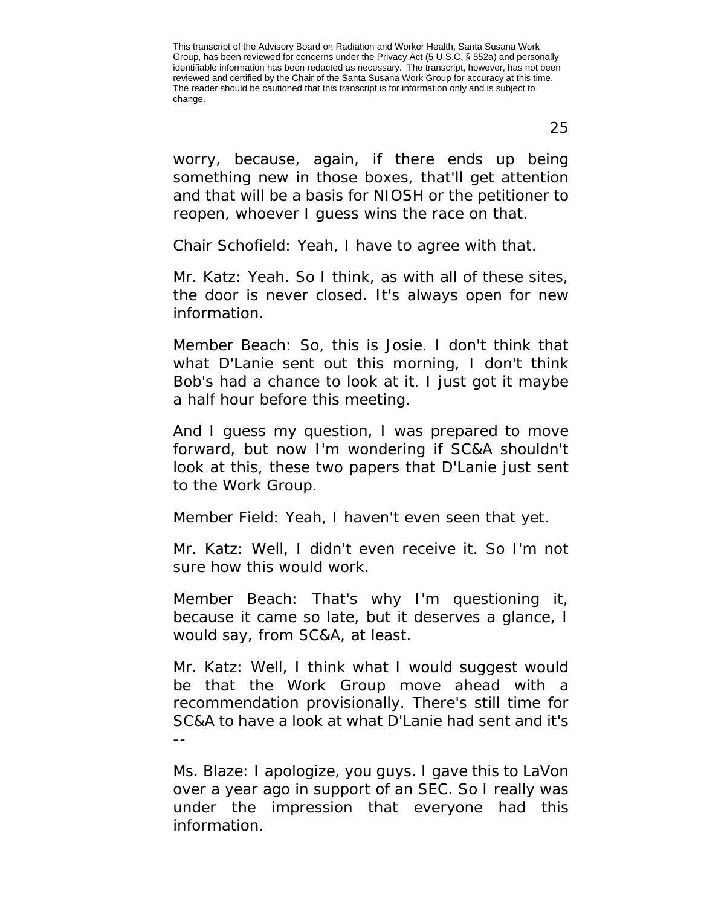worry, because, again, if there ends up being something new in those boxes, that'll get attention and that will be a basis for NIOSH or the petitioner to reopen, whoever I guess wins the race on that.

Chair Schofield: Yeah, I have to agree with that.

Mr. Katz: Yeah. So I think, as with all of these sites, the door is never closed. It's always open for new information.

Member Beach: So, this is Josie. I don't think that what D'Lanie sent out this morning, I don't think Bob's had a chance to look at it. I just got it maybe a half hour before this meeting.

And I guess my question, I was prepared to move forward, but now I'm wondering if SC&A shouldn't look at this, these two papers that D'Lanie just sent to the Work Group.

Member Field: Yeah, I haven't even seen that yet.

Mr. Katz: Well, I didn't even receive it. So I'm not sure how this would work.

Member Beach: That's why I'm questioning it, because it came so late, but it deserves a glance, I would say, from SC&A, at least.

Mr. Katz: Well, I think what I would suggest would be that the Work Group move ahead with a recommendation provisionally. There's still time for SC&A to have a look at what D'Lanie had sent and it's  $-$ 

Ms. Blaze: I apologize, you guys. I gave this to LaVon over a year ago in support of an SEC. So I really was under the impression that everyone had this information.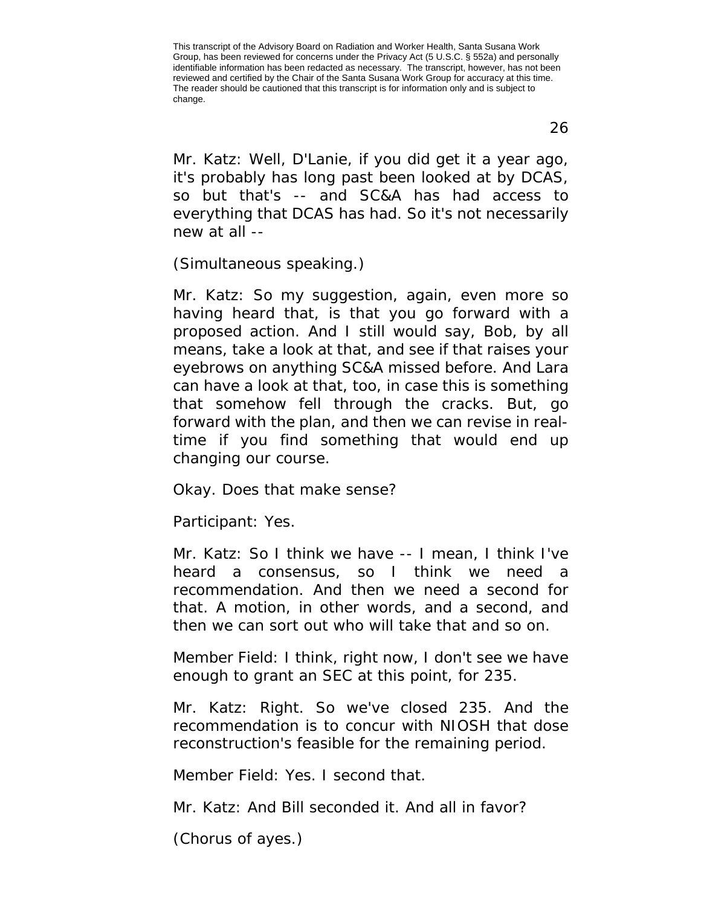Mr. Katz: Well, D'Lanie, if you did get it a year ago, it's probably has long past been looked at by DCAS, so but that's -- and SC&A has had access to everything that DCAS has had. So it's not necessarily new at all --

(Simultaneous speaking.)

Mr. Katz: So my suggestion, again, even more so having heard that, is that you go forward with a proposed action. And I still would say, Bob, by all means, take a look at that, and see if that raises your eyebrows on anything SC&A missed before. And Lara can have a look at that, too, in case this is something that somehow fell through the cracks. But, go forward with the plan, and then we can revise in realtime if you find something that would end up changing our course.

Okay. Does that make sense?

Participant: Yes.

Mr. Katz: So I think we have -- I mean, I think I've heard a consensus, so I think we need a recommendation. And then we need a second for that. A motion, in other words, and a second, and then we can sort out who will take that and so on.

Member Field: I think, right now, I don't see we have enough to grant an SEC at this point, for 235.

Mr. Katz: Right. So we've closed 235. And the recommendation is to concur with NIOSH that dose reconstruction's feasible for the remaining period.

Member Field: Yes. I second that.

Mr. Katz: And Bill seconded it. And all in favor?

(Chorus of ayes.)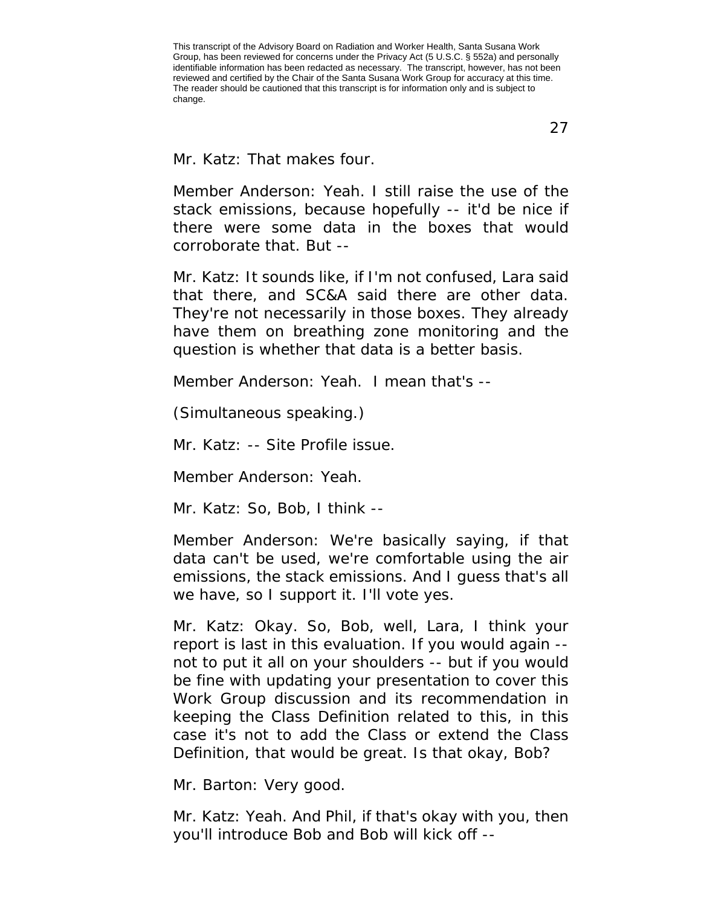27

Mr. Katz: That makes four.

Member Anderson: Yeah. I still raise the use of the stack emissions, because hopefully -- it'd be nice if there were some data in the boxes that would corroborate that. But --

Mr. Katz: It sounds like, if I'm not confused, Lara said that there, and SC&A said there are other data. They're not necessarily in those boxes. They already have them on breathing zone monitoring and the question is whether that data is a better basis.

Member Anderson: Yeah. I mean that's --

(Simultaneous speaking.)

Mr. Katz: -- Site Profile issue.

Member Anderson: Yeah.

Mr. Katz: So, Bob, I think --

Member Anderson: We're basically saying, if that data can't be used, we're comfortable using the air emissions, the stack emissions. And I guess that's all we have, so I support it. I'll vote yes.

Mr. Katz: Okay. So, Bob, well, Lara, I think your report is last in this evaluation. If you would again - not to put it all on your shoulders -- but if you would be fine with updating your presentation to cover this Work Group discussion and its recommendation in keeping the Class Definition related to this, in this case it's not to add the Class or extend the Class Definition, that would be great. Is that okay, Bob?

Mr. Barton: Very good.

Mr. Katz: Yeah. And Phil, if that's okay with you, then you'll introduce Bob and Bob will kick off --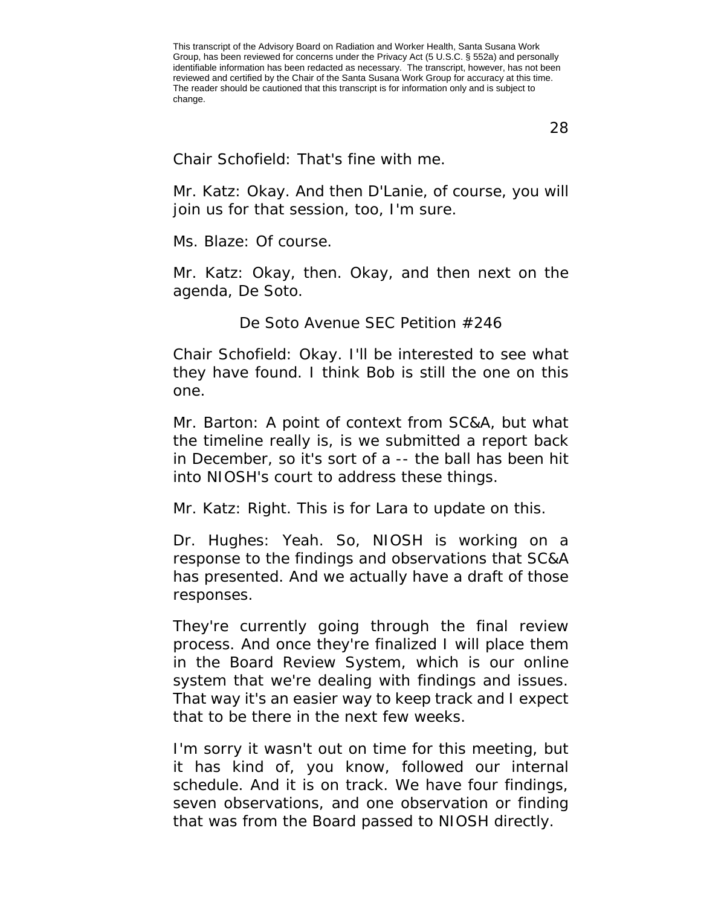28

Chair Schofield: That's fine with me.

Mr. Katz: Okay. And then D'Lanie, of course, you will join us for that session, too, I'm sure.

Ms. Blaze: Of course.

Mr. Katz: Okay, then. Okay, and then next on the agenda, De Soto.

De Soto Avenue SEC Petition #246

<span id="page-27-0"></span>Chair Schofield: Okay. I'll be interested to see what they have found. I think Bob is still the one on this one.

Mr. Barton: A point of context from SC&A, but what the timeline really is, is we submitted a report back in December, so it's sort of a -- the ball has been hit into NIOSH's court to address these things.

Mr. Katz: Right. This is for Lara to update on this.

Dr. Hughes: Yeah. So, NIOSH is working on a response to the findings and observations that SC&A has presented. And we actually have a draft of those responses.

They're currently going through the final review process. And once they're finalized I will place them in the Board Review System, which is our online system that we're dealing with findings and issues. That way it's an easier way to keep track and I expect that to be there in the next few weeks.

I'm sorry it wasn't out on time for this meeting, but it has kind of, you know, followed our internal schedule. And it is on track. We have four findings, seven observations, and one observation or finding that was from the Board passed to NIOSH directly.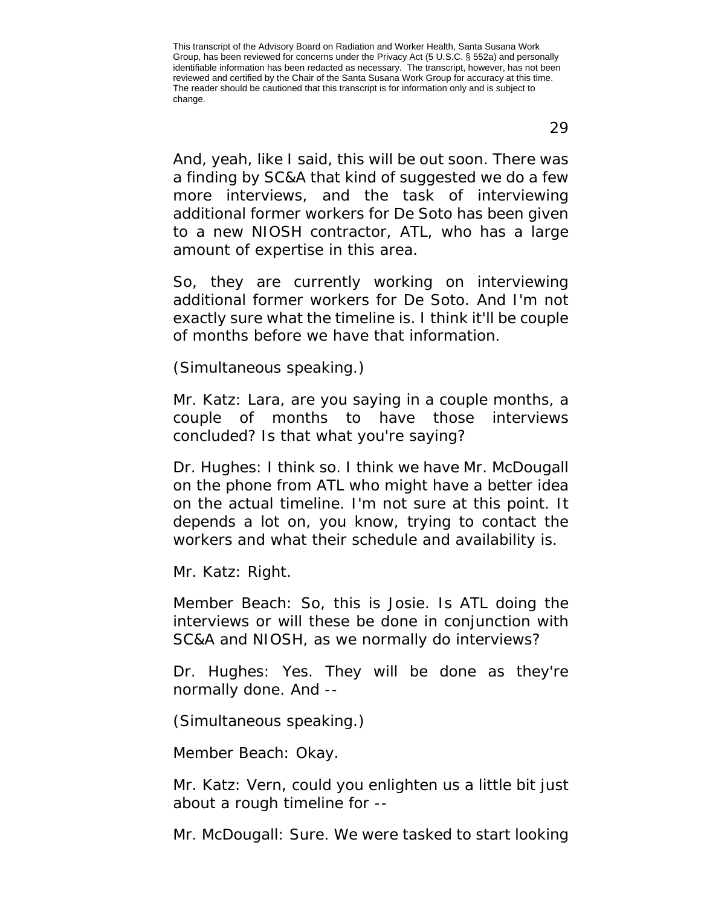And, yeah, like I said, this will be out soon. There was a finding by SC&A that kind of suggested we do a few more interviews, and the task of interviewing additional former workers for De Soto has been given to a new NIOSH contractor, ATL, who has a large amount of expertise in this area.

So, they are currently working on interviewing additional former workers for De Soto. And I'm not exactly sure what the timeline is. I think it'll be couple of months before we have that information.

(Simultaneous speaking.)

Mr. Katz: Lara, are you saying in a couple months, a couple of months to have those interviews concluded? Is that what you're saying?

Dr. Hughes: I think so. I think we have Mr. McDougall on the phone from ATL who might have a better idea on the actual timeline. I'm not sure at this point. It depends a lot on, you know, trying to contact the workers and what their schedule and availability is.

Mr. Katz: Right.

Member Beach: So, this is Josie. Is ATL doing the interviews or will these be done in conjunction with SC&A and NIOSH, as we normally do interviews?

Dr. Hughes: Yes. They will be done as they're normally done. And --

(Simultaneous speaking.)

Member Beach: Okay.

Mr. Katz: Vern, could you enlighten us a little bit just about a rough timeline for --

Mr. McDougall: Sure. We were tasked to start looking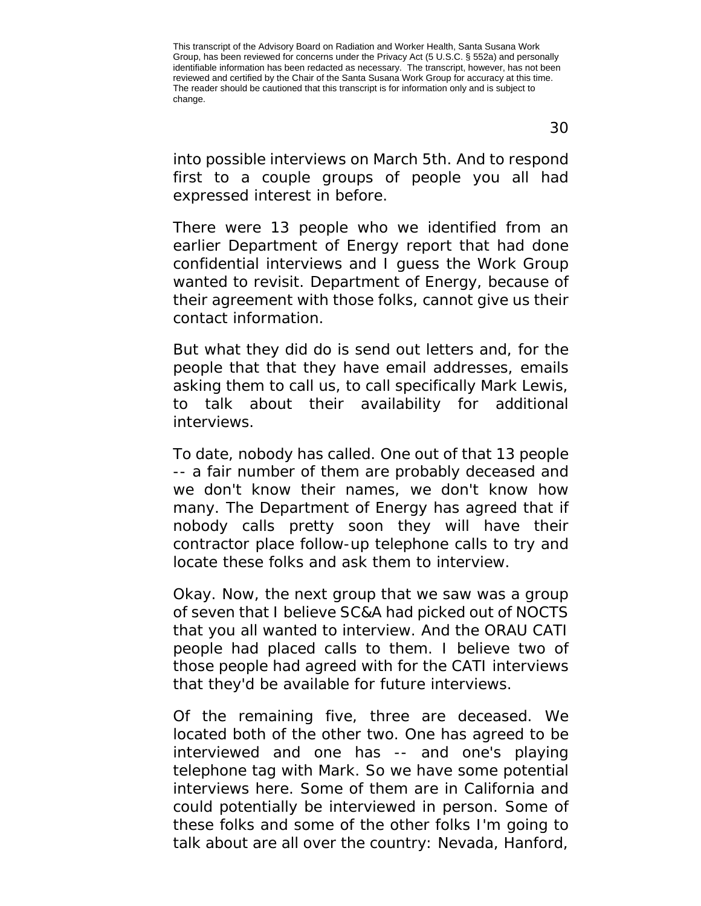into possible interviews on March 5th. And to respond first to a couple groups of people you all had expressed interest in before.

There were 13 people who we identified from an earlier Department of Energy report that had done confidential interviews and I guess the Work Group wanted to revisit. Department of Energy, because of their agreement with those folks, cannot give us their contact information.

But what they did do is send out letters and, for the people that that they have email addresses, emails asking them to call us, to call specifically Mark Lewis, to talk about their availability for additional interviews.

To date, nobody has called. One out of that 13 people -- a fair number of them are probably deceased and we don't know their names, we don't know how many. The Department of Energy has agreed that if nobody calls pretty soon they will have their contractor place follow-up telephone calls to try and locate these folks and ask them to interview.

Okay. Now, the next group that we saw was a group of seven that I believe SC&A had picked out of NOCTS that you all wanted to interview. And the ORAU CATI people had placed calls to them. I believe two of those people had agreed with for the CATI interviews that they'd be available for future interviews.

Of the remaining five, three are deceased. We located both of the other two. One has agreed to be interviewed and one has -- and one's playing telephone tag with Mark. So we have some potential interviews here. Some of them are in California and could potentially be interviewed in person. Some of these folks and some of the other folks I'm going to talk about are all over the country: Nevada, Hanford,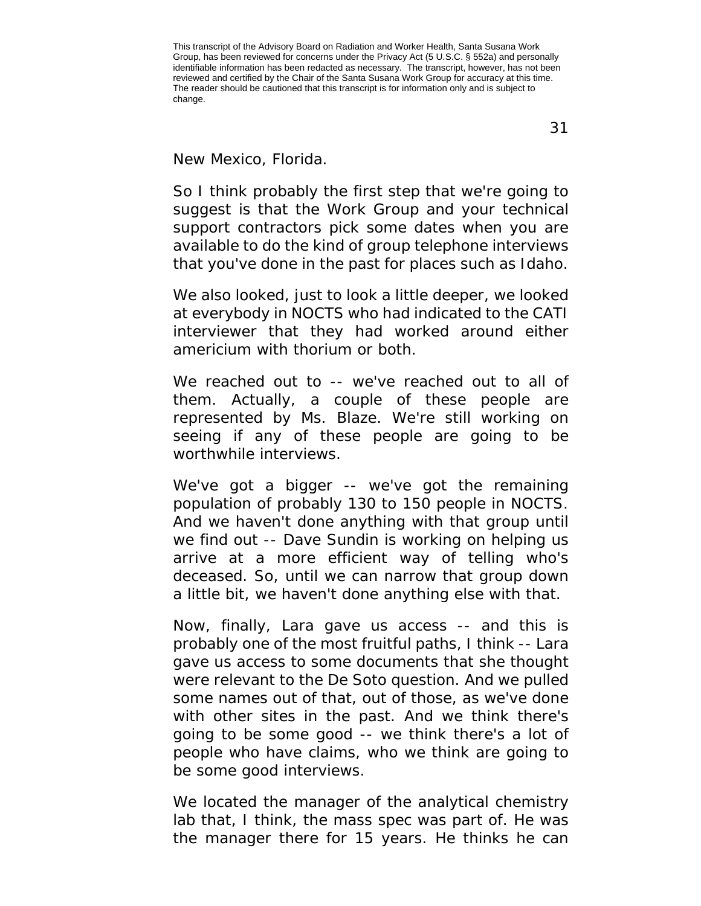New Mexico, Florida.

So I think probably the first step that we're going to suggest is that the Work Group and your technical support contractors pick some dates when you are available to do the kind of group telephone interviews that you've done in the past for places such as Idaho.

We also looked, just to look a little deeper, we looked at everybody in NOCTS who had indicated to the CATI interviewer that they had worked around either americium with thorium or both.

We reached out to -- we've reached out to all of them. Actually, a couple of these people are represented by Ms. Blaze. We're still working on seeing if any of these people are going to be worthwhile interviews.

We've got a bigger -- we've got the remaining population of probably 130 to 150 people in NOCTS. And we haven't done anything with that group until we find out -- Dave Sundin is working on helping us arrive at a more efficient way of telling who's deceased. So, until we can narrow that group down a little bit, we haven't done anything else with that.

Now, finally, Lara gave us access -- and this is probably one of the most fruitful paths, I think -- Lara gave us access to some documents that she thought were relevant to the De Soto question. And we pulled some names out of that, out of those, as we've done with other sites in the past. And we think there's going to be some good -- we think there's a lot of people who have claims, who we think are going to be some good interviews.

We located the manager of the analytical chemistry lab that, I think, the mass spec was part of. He was the manager there for 15 years. He thinks he can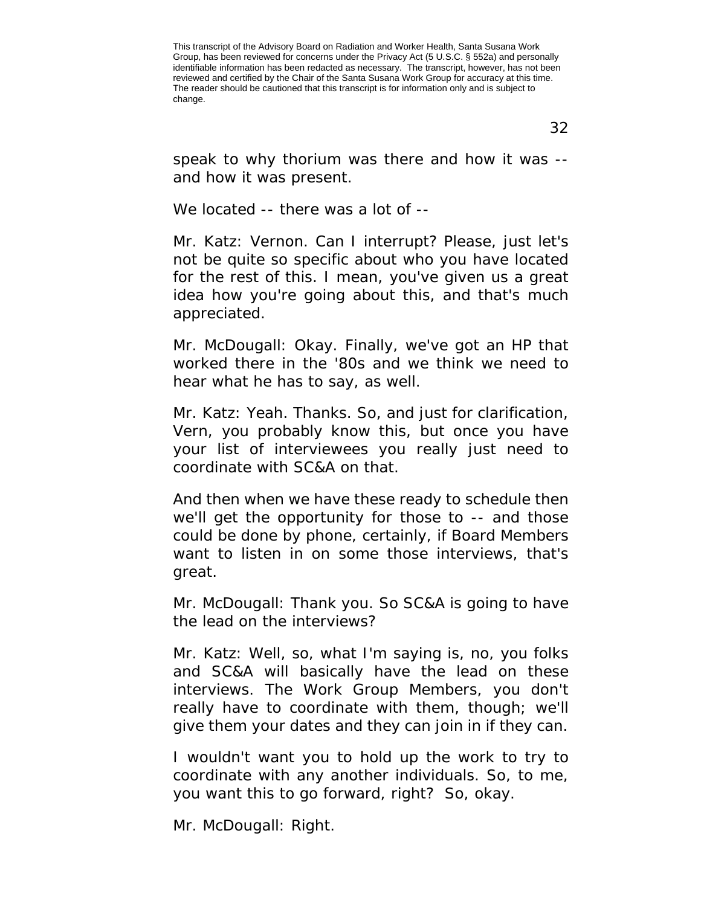speak to why thorium was there and how it was - and how it was present.

We located -- there was a lot of --

Mr. Katz: Vernon. Can I interrupt? Please, just let's not be quite so specific about who you have located for the rest of this. I mean, you've given us a great idea how you're going about this, and that's much appreciated.

Mr. McDougall: Okay. Finally, we've got an HP that worked there in the '80s and we think we need to hear what he has to say, as well.

Mr. Katz: Yeah. Thanks. So, and just for clarification, Vern, you probably know this, but once you have your list of interviewees you really just need to coordinate with SC&A on that.

And then when we have these ready to schedule then we'll get the opportunity for those to -- and those could be done by phone, certainly, if Board Members want to listen in on some those interviews, that's great.

Mr. McDougall: Thank you. So SC&A is going to have the lead on the interviews?

Mr. Katz: Well, so, what I'm saying is, no, you folks and SC&A will basically have the lead on these interviews. The Work Group Members, you don't really have to coordinate with them, though; we'll give them your dates and they can join in if they can.

I wouldn't want you to hold up the work to try to coordinate with any another individuals. So, to me, you want this to go forward, right? So, okay.

Mr. McDougall: Right.

32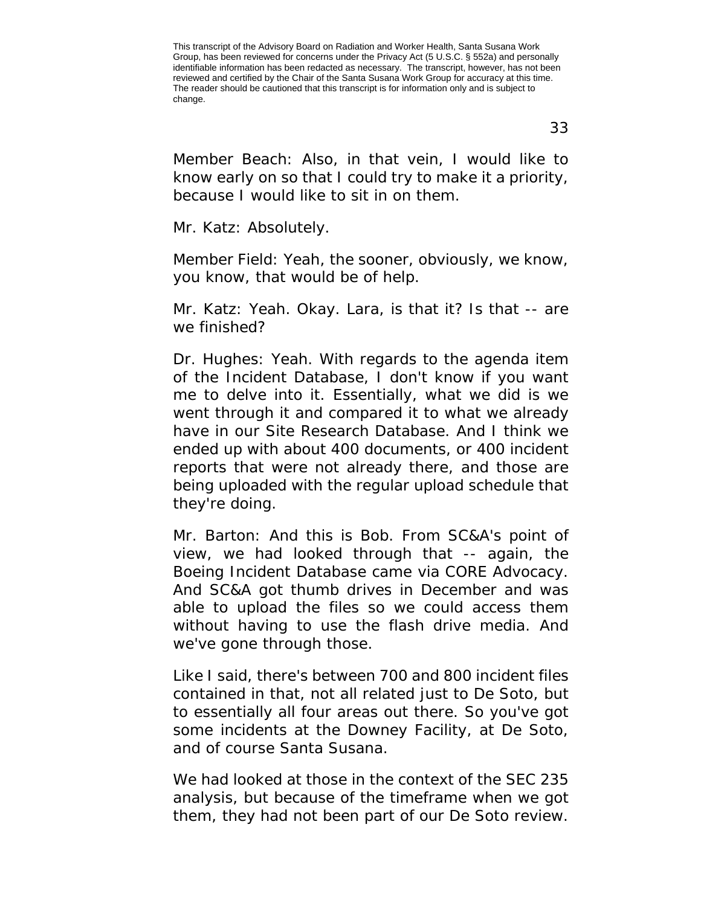Member Beach: Also, in that vein, I would like to know early on so that I could try to make it a priority, because I would like to sit in on them.

Mr. Katz: Absolutely.

Member Field: Yeah, the sooner, obviously, we know, you know, that would be of help.

Mr. Katz: Yeah. Okay. Lara, is that it? Is that -- are we finished?

Dr. Hughes: Yeah. With regards to the agenda item of the Incident Database, I don't know if you want me to delve into it. Essentially, what we did is we went through it and compared it to what we already have in our Site Research Database. And I think we ended up with about 400 documents, or 400 incident reports that were not already there, and those are being uploaded with the regular upload schedule that they're doing.

Mr. Barton: And this is Bob. From SC&A's point of view, we had looked through that -- again, the Boeing Incident Database came via CORE Advocacy. And SC&A got thumb drives in December and was able to upload the files so we could access them without having to use the flash drive media. And we've gone through those.

Like I said, there's between 700 and 800 incident files contained in that, not all related just to De Soto, but to essentially all four areas out there. So you've got some incidents at the Downey Facility, at De Soto, and of course Santa Susana.

We had looked at those in the context of the SEC 235 analysis, but because of the timeframe when we got them, they had not been part of our De Soto review.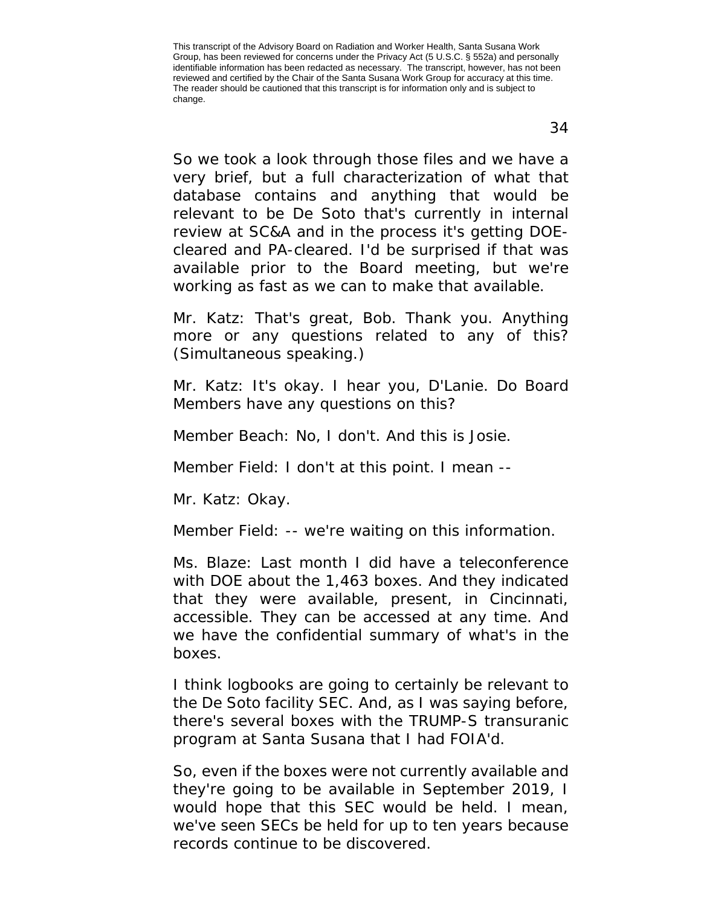So we took a look through those files and we have a very brief, but a full characterization of what that database contains and anything that would be relevant to be De Soto that's currently in internal review at SC&A and in the process it's getting DOEcleared and PA-cleared. I'd be surprised if that was available prior to the Board meeting, but we're working as fast as we can to make that available.

Mr. Katz: That's great, Bob. Thank you. Anything more or any questions related to any of this? (Simultaneous speaking.)

Mr. Katz: It's okay. I hear you, D'Lanie. Do Board Members have any questions on this?

Member Beach: No, I don't. And this is Josie.

Member Field: I don't at this point. I mean --

Mr. Katz: Okay.

Member Field: -- we're waiting on this information.

Ms. Blaze: Last month I did have a teleconference with DOE about the 1,463 boxes. And they indicated that they were available, present, in Cincinnati, accessible. They can be accessed at any time. And we have the confidential summary of what's in the boxes.

I think logbooks are going to certainly be relevant to the De Soto facility SEC. And, as I was saying before, there's several boxes with the TRUMP-S transuranic program at Santa Susana that I had FOIA'd.

So, even if the boxes were not currently available and they're going to be available in September 2019, I would hope that this SEC would be held. I mean, we've seen SECs be held for up to ten years because records continue to be discovered.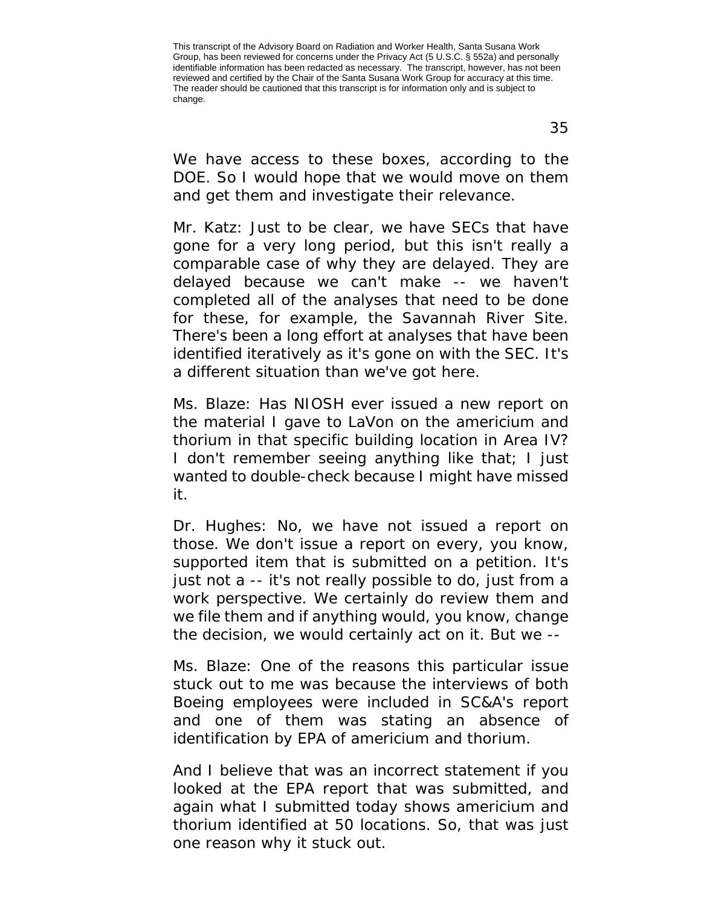We have access to these boxes, according to the DOE. So I would hope that we would move on them and get them and investigate their relevance.

Mr. Katz: Just to be clear, we have SECs that have gone for a very long period, but this isn't really a comparable case of why they are delayed. They are delayed because we can't make -- we haven't completed all of the analyses that need to be done for these, for example, the Savannah River Site. There's been a long effort at analyses that have been identified iteratively as it's gone on with the SEC. It's a different situation than we've got here.

Ms. Blaze: Has NIOSH ever issued a new report on the material I gave to LaVon on the americium and thorium in that specific building location in Area IV? I don't remember seeing anything like that; I just wanted to double-check because I might have missed it.

Dr. Hughes: No, we have not issued a report on those. We don't issue a report on every, you know, supported item that is submitted on a petition. It's just not a -- it's not really possible to do, just from a work perspective. We certainly do review them and we file them and if anything would, you know, change the decision, we would certainly act on it. But we --

Ms. Blaze: One of the reasons this particular issue stuck out to me was because the interviews of both Boeing employees were included in SC&A's report and one of them was stating an absence of identification by EPA of americium and thorium.

And I believe that was an incorrect statement if you looked at the EPA report that was submitted, and again what I submitted today shows americium and thorium identified at 50 locations. So, that was just one reason why it stuck out.